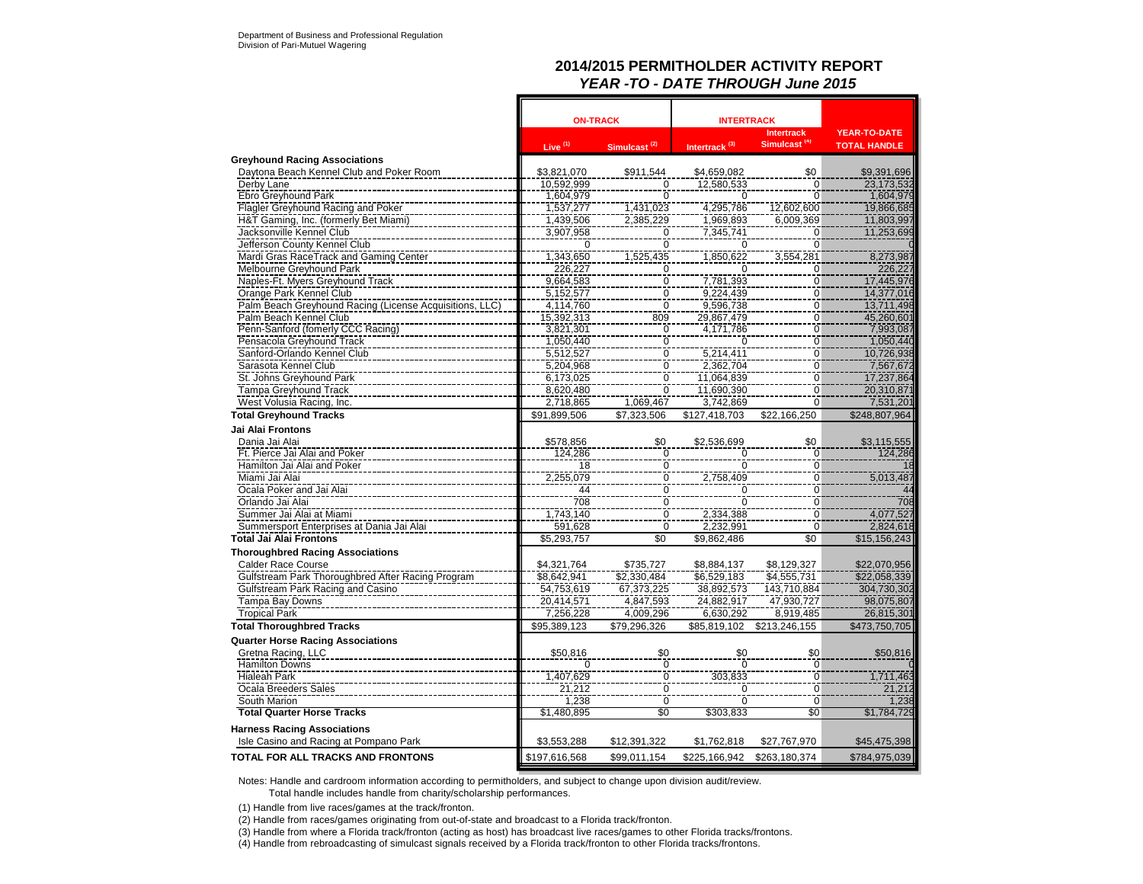### **2014/2015 PERMITHOLDER ACTIVITY REPORT** *YEAR -TO - DATE THROUGH June 2015*

|                                                         | <b>ON-TRACK</b> |                          | <b>INTERTRACK</b><br><b>Intertrack</b> |                          | <b>YEAR-TO-DATE</b> |
|---------------------------------------------------------|-----------------|--------------------------|----------------------------------------|--------------------------|---------------------|
|                                                         | Live $(1)$      | Simulcast <sup>(2)</sup> | Intertrack <sup>(3)</sup>              | Simulcast <sup>(4)</sup> | <b>TOTAL HANDLE</b> |
| <b>Greyhound Racing Associations</b>                    |                 |                          |                                        |                          |                     |
| Daytona Beach Kennel Club and Poker Room                | \$3,821,070     | \$911,544                | \$4,659,082                            | \$0                      | \$9,391,696         |
| Derby Lane                                              | 10,592,999      | $\frac{0}{0}$            | 12,580,533                             | $\Omega$                 | 23, 173, 532        |
| Ebro Greyhound Park                                     | 1,604,979       |                          | $\mathbf 0$                            | $\Omega$                 | 1,604,979           |
| Flagler Greyhound Racing and Poker                      | 1,537,277       | 1,431,023                | 4,295,786                              | 12,602,600               | 19,866,685          |
| H&T Gaming, Inc. (formerly Bet Miami)                   | 1,439,506       | 2,385,229                | 1,969,893                              | 6,009,369                | 11,803,997          |
| Jacksonville Kennel Club                                | 3,907,958       | $\frac{0}{0}$            | 7,345,741                              | $\Omega$                 | 11,253,699          |
| Jefferson County Kennel Club                            | $\overline{0}$  |                          | $\overline{0}$                         | ក                        |                     |
| Mardi Gras RaceTrack and Gaming Center                  | 1,343,650       | 1,525,435                | 1,850,622                              | 3,554,281                | 8,273,987           |
| Melbourne Greyhound Park                                | 226,227         | 0                        | 0                                      | $\overline{0}$           | 226,227             |
| Naples-Ft. Myers Greyhound Track                        | 9,664,583       | $\overline{0}$           | 7,781,393                              | $\overline{0}$           | 17,445,976          |
| Orange Park Kennel Club                                 | 5,152,577       | 0                        | 9,224,439                              | 0                        | 14,377,016          |
| Palm Beach Greyhound Racing (License Acquisitions, LLC) | 4,114,760       | $\overline{0}$           | 9,596,738                              | $\overline{0}$           | 13,711,498          |
| Palm Beach Kennel Club                                  | 15,392,313      | 809                      | 29,867,479                             | 0                        | 45,260,601          |
| Penn-Sanford (fomerly CCC Racing)                       | 3,821,301       |                          | 4,171,786                              | $\overline{0}$           | 7,993,087           |
| Pensacola Greyhound Track                               | 1,050,440       | $\frac{0}{0}$            | $\Omega$                               | $\pmb{0}$                | 1,050,440           |
| Sanford-Orlando Kennel Club                             | 5,512,527       |                          | 5.214.411                              | $\overline{0}$           | 10,726,938          |
| Sarasota Kennel Club                                    | 5,204,968       | $\frac{0}{0}$            | 2,362,704                              | 0<br>$\overline{0}$      | 7,567,672           |
| St. Johns Greyhound Park                                | 6,173,025       | $\overline{0}$           | 11,064,839                             |                          | 17,237,864          |
| <b>Tampa Greyhound Track</b>                            | 8,620,480       |                          | 11,690,390                             | Ō                        | 20,310,871          |
| West Volusia Racing, Inc.                               | 2,718,865       | 1,069,467                | 3,742,869                              | $\mathbf 0$              | 7,531,201           |
| <b>Total Greyhound Tracks</b>                           | \$91,899,506    | \$7,323,506              | \$127,418,703                          | \$22,166,250             | \$248,807,964       |
| Jai Alai Frontons                                       |                 |                          |                                        |                          |                     |
| Dania Jai Alai                                          | \$578,856       | \$0                      | \$2,536,699                            | \$0                      | \$3,115,555         |
| Ft. Pierce Jai Alai and Poker                           | 124,286         | $\overline{0}$           |                                        | 0                        | 124,286             |
| Hamilton Jai Alai and Poker                             | 18              | 0                        | 0                                      | $\mathbf 0$              |                     |
| Miami Jai Alai                                          | 2,255,079       | $\bar{0}$                | 2,758,409                              | Ō                        | 5,013,487           |
| Ocala Poker and Jai Alai                                | 44<br>708       | $\overline{0}$           | $\Omega$                               | 0<br>$\overline{0}$      | 44<br>708           |
| Orlando Jai Alai                                        |                 | $\frac{0}{0}$            | $\overline{0}$                         |                          |                     |
| Summer Jai Alai at Miami                                | 1,743,140       |                          | 2,334,388                              | $\mathbf 0$              | 4,077,527           |
| Summersport Enterprises at Dania Jai Alai               | 591,628         | $\overline{0}$           | 2,232,991                              | 0                        | 2,824,618           |
| <b>Total Jai Alai Frontons</b>                          | \$5,293,757     | \$0                      | \$9,862,486                            | \$0                      | \$15,156,243        |
| <b>Thoroughbred Racing Associations</b>                 |                 |                          |                                        |                          |                     |
| Calder Race Course                                      | \$4,321,764     | \$735,727                | \$8,884,137                            | \$8,129,327              | \$22,070,956        |
| Gulfstream Park Thoroughbred After Racing Program       | \$8,642,941     | \$2,330,484              | \$6,529,183                            | \$4,555,731              | \$22,058,339        |
| Gulfstream Park Racing and Casino                       | 54,753,619      | 67,373,225               | 38,892,573                             | 143,710,884              | 304,730,302         |
| Tampa Bay Downs                                         | 20,414,571      | 4,847,593                | 24,882,917                             | 47,930,727               | 98,075,807          |
| <b>Tropical Park</b>                                    | 7,256,228       | 4,009,296                | 6,630,292                              | 8,919,485                | 26,815,301          |
| <b>Total Thoroughbred Tracks</b>                        | \$95,389,123    | \$79,296,326             | \$85,819,102                           | \$213,246,155            | \$473,750,705       |
| <b>Quarter Horse Racing Associations</b>                |                 |                          |                                        |                          |                     |
| Gretna Racing, LLC                                      | \$50,816        | \$0                      | \$0                                    | \$0                      | \$50,816            |
| <b>Hamilton Downs</b>                                   | $\Omega$        | $\overline{0}$           | $\Omega$                               | $\Omega$                 |                     |
| <b>Hialeah Park</b>                                     | 1,407,629       | $\frac{0}{0}$            | 303,833                                | 0                        | 1,711,463           |
| Ocala Breeders Sales                                    | 21,212          |                          | 0                                      | 0                        | 21,212              |
| South Marion                                            | 1,238           | $\overline{0}$           | $\mathbf 0$                            | $\mathbf 0$              | 1,238               |
| <b>Total Quarter Horse Tracks</b>                       | \$1,480,895     | \$0                      | \$303,833                              | \$0                      | \$1,784,729         |
| <b>Harness Racing Associations</b>                      |                 |                          |                                        |                          |                     |
| Isle Casino and Racing at Pompano Park                  | \$3,553,288     | \$12,391,322             | \$1,762,818                            | \$27,767,970             | \$45,475,398        |
| TOTAL FOR ALL TRACKS AND FRONTONS                       | \$197,616,568   | \$99.011.154             | \$225.166.942                          | \$263.180.374            | \$784,975,039       |

Notes: Handle and cardroom information according to permitholders, and subject to change upon division audit/review.

Total handle includes handle from charity/scholarship performances.

(1) Handle from live races/games at the track/fronton.

(2) Handle from races/games originating from out-of-state and broadcast to a Florida track/fronton.

(3) Handle from where a Florida track/fronton (acting as host) has broadcast live races/games to other Florida tracks/frontons.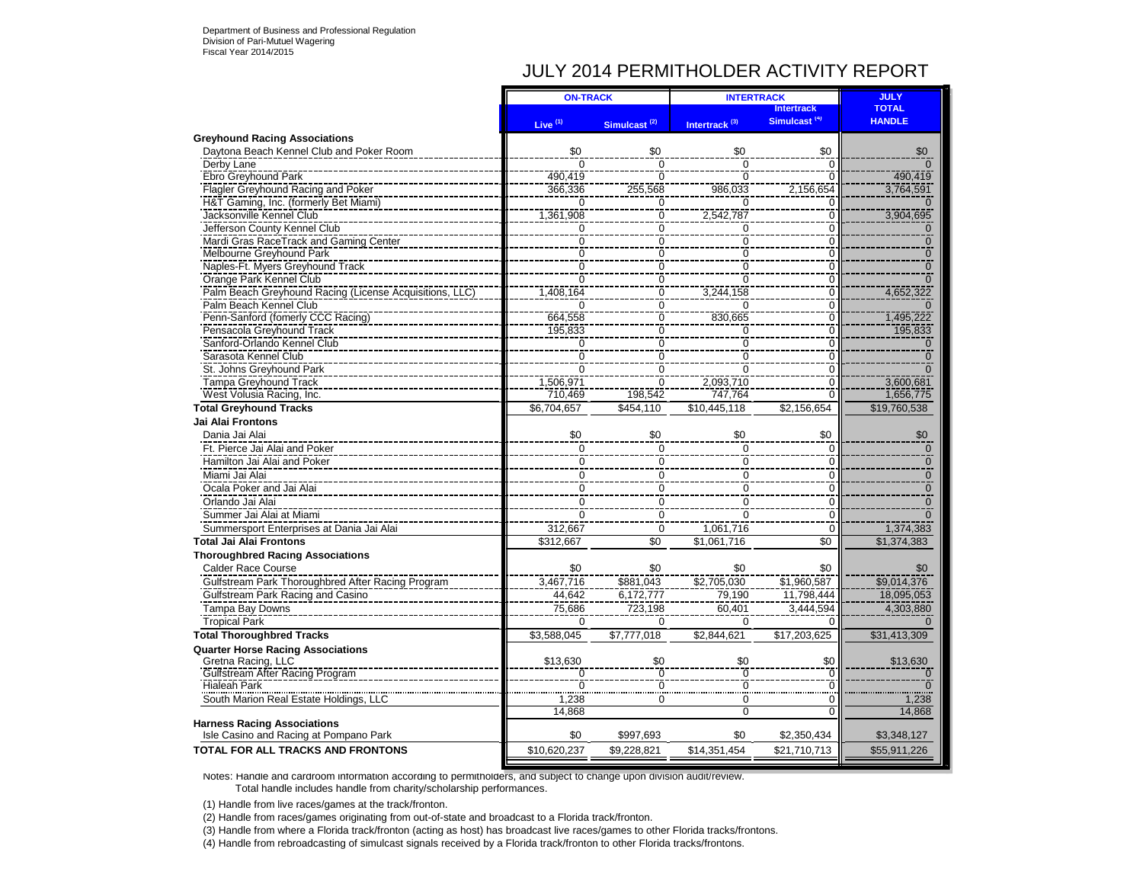# JULY 2014 PERMITHOLDER ACTIVITY REPORT

|                                                         | <b>ON-TRACK</b>     |                          | <b>INTERTRACK</b>         | <b>JULY</b>              |               |
|---------------------------------------------------------|---------------------|--------------------------|---------------------------|--------------------------|---------------|
|                                                         |                     |                          |                           | <b>Intertrack</b>        | <b>TOTAL</b>  |
|                                                         | Live <sup>(1)</sup> | Simulcast <sup>(2)</sup> | Intertrack <sup>(3)</sup> | Simulcast <sup>(4)</sup> | <b>HANDLE</b> |
| <b>Greyhound Racing Associations</b>                    |                     |                          |                           |                          |               |
| Daytona Beach Kennel Club and Poker Room                | \$0                 | \$0                      | \$0                       | \$0                      | \$0           |
| Derby Lane                                              | $\overline{0}$      | $\overline{0}$           | $\overline{0}$            | $\Omega$                 |               |
| Ebro Greyhound Park                                     | 490.419             | $\Omega$                 | $\Omega$                  |                          | 490,419       |
| Flagler Greyhound Racing and Poker                      | 366,336             | 255,568                  | 986,033                   | 2,156,654                | 3,764,591     |
| H&T Gaming, Inc. (formerly Bet Miami)                   | $\Omega$            | $\mathbf 0$              | $\Omega$                  | $\Omega$                 |               |
| Jacksonville Kennel Club                                | 1,361,908           | $\mathbf 0$              | 2,542,787                 | $\Omega$                 | 3,904,695     |
| Jefferson County Kennel Club                            | $\mathbf 0$         | ō                        | Ō                         | ō                        | 0             |
| Mardi Gras RaceTrack and Gaming Center                  | $\overline{0}$      | ō                        | $\overline{0}$            | $\overline{0}$           | $\Omega$      |
| Melbourne Greyhound Park                                | $\Omega$            | $\Omega$                 | $\overline{0}$            | $\Omega$                 |               |
| Naples-Ft. Myers Greyhound Track                        | $\overline{0}$      | $\overline{0}$           | $\overline{0}$            | $\overline{0}$           | $\Omega$      |
| Orange Park Kennel Club                                 | $\overline{0}$      | $\overline{0}$           | $\overline{0}$            | $\overline{0}$           |               |
| Palm Beach Greyhound Racing (License Acquisitions, LLC) | 1.408.164           | $\overline{0}$           | 3,244,158                 | $\overline{0}$           | 4,652,322     |
| Palm Beach Kennel Club                                  | $\Omega$            | ō                        | $\Omega$                  | $\overline{0}$           |               |
| Penn-Sanford (fomerly CCC Racing)                       | 664,558             | $\overline{0}$           | 830,665                   | $\overline{0}$           | 1,495,222     |
| Pensacola Greyhound Track                               | 195,833             | ō                        | $\mathbf 0$               | $\overline{0}$           | 195,833       |
| Sanford-Orlando Kennel Club                             | 0                   | $\overline{0}$           | $\overline{0}$            | $\overline{0}$           | $\Omega$      |
| Sarasota Kennel Club                                    | $\overline{0}$      | $\overline{0}$           | $\overline{0}$            | Ō                        | $\Omega$      |
| St. Johns Greyhound Park                                | $\Omega$            | Ō                        | $\overline{0}$            | $\overline{0}$           |               |
| <b>Tampa Greyhound Track</b>                            | 1.506.971           | $\overline{0}$           | 2,093,710                 | $\overline{0}$           | 3,600,681     |
| West Volusia Racing, Inc.                               | 710,469             | 198,542                  | 747,764                   | $\Omega$                 | 1,656,775     |
| <b>Total Greyhound Tracks</b>                           | \$6,704,657         | \$454,110                | \$10,445,118              | \$2,156,654              | \$19,760,538  |
| Jai Alai Frontons                                       |                     |                          |                           |                          |               |
| Dania Jai Alai                                          | \$0                 | \$0                      | \$0                       | \$0                      | \$0           |
| Ft. Pierce Jai Alai and Poker                           | $\Omega$            | $\Omega$                 | $\Omega$                  | $\Omega$                 | $\Omega$      |
| Hamilton Jai Alai and Poker                             | $\overline{0}$      | $\overline{0}$           | $\overline{0}$            | $\Omega$                 | U             |
| Miami Jai Alai                                          | $\overline{0}$      | $\overline{0}$           | $\overline{0}$            | $\Omega$                 | $\Omega$      |
| Ocala Poker and Jai Alai                                | $\mathbf 0$         | $\overline{0}$           | $\overline{0}$            | $\overline{0}$           | $\Omega$      |
| Orlando Jai Alai                                        | $\mathbf 0$         | $\mathbf 0$              | $\mathbf 0$               | $\mathbf 0$              | $\Omega$      |
| Summer Jai Alai at Miami                                | $\Omega$            | $\Omega$                 | $\Omega$                  | 0                        |               |
| Summersport Enterprises at Dania Jai Alai               | 312,667             | $\Omega$                 | 1,061,716                 | $\Omega$                 | 1,374,383     |
| <b>Total Jai Alai Frontons</b>                          | \$312,667           | \$0                      | \$1.061.716               | \$0                      | \$1,374,383   |
| <b>Thoroughbred Racing Associations</b>                 |                     |                          |                           |                          |               |
| <b>Calder Race Course</b>                               | \$0                 | \$0                      | \$0                       | \$0                      | \$0           |
| Gulfstream Park Thoroughbred After Racing Program       | 3.467.716           | \$881,043                | \$2,705,030               | \$1,960,587              | \$9,014,376   |
| Gulfstream Park Racing and Casino                       | 44.642              | 6,172,777                | 79.190                    | 11,798,444               | 18,095,053    |
| Tampa Bay Downs                                         | 75.686              | 723,198                  | 60.401                    | 3,444,594                | 4,303,880     |
| <b>Tropical Park</b>                                    | $\Omega$            | $\Omega$                 | $\Omega$                  |                          |               |
| <b>Total Thoroughbred Tracks</b>                        | \$3,588,045         | \$7,777,018              | \$2,844,621               | \$17,203,625             | \$31,413,309  |
| <b>Quarter Horse Racing Associations</b>                |                     |                          |                           |                          |               |
|                                                         | \$13,630            | \$0                      | \$0                       | \$0                      | \$13,630      |
| Gretna Racing, LLC<br>Gulfstream After Racing Program   |                     |                          | Ō                         | Ō                        | ٦Ō            |
| <b>Hialeah Park</b>                                     | $\Omega$            | $\Omega$                 | $\overline{0}$            | $\Omega$                 |               |
| South Marion Real Estate Holdings, LLC                  | 1,238               | 0                        | $\mathbf 0$               | $\Omega$                 | 1,238         |
|                                                         | 14,868              |                          | $\overline{0}$            | $\Omega$                 | 14,868        |
| <b>Harness Racing Associations</b>                      |                     |                          |                           |                          |               |
| Isle Casino and Racing at Pompano Park                  | \$0                 | \$997,693                | \$0                       | \$2,350,434              | \$3,348,127   |
| <b>TOTAL FOR ALL TRACKS AND FRONTONS</b>                | \$10,620,237        | \$9,228,821              | \$14,351,454              | \$21,710,713             | \$55,911,226  |
|                                                         |                     |                          |                           |                          |               |

Notes: Handle and cardroom information according to permitholders, and subject to change upon division audit/review. Total handle includes handle from charity/scholarship performances.

(1) Handle from live races/games at the track/fronton.

(2) Handle from races/games originating from out-of-state and broadcast to a Florida track/fronton.

(3) Handle from where a Florida track/fronton (acting as host) has broadcast live races/games to other Florida tracks/frontons.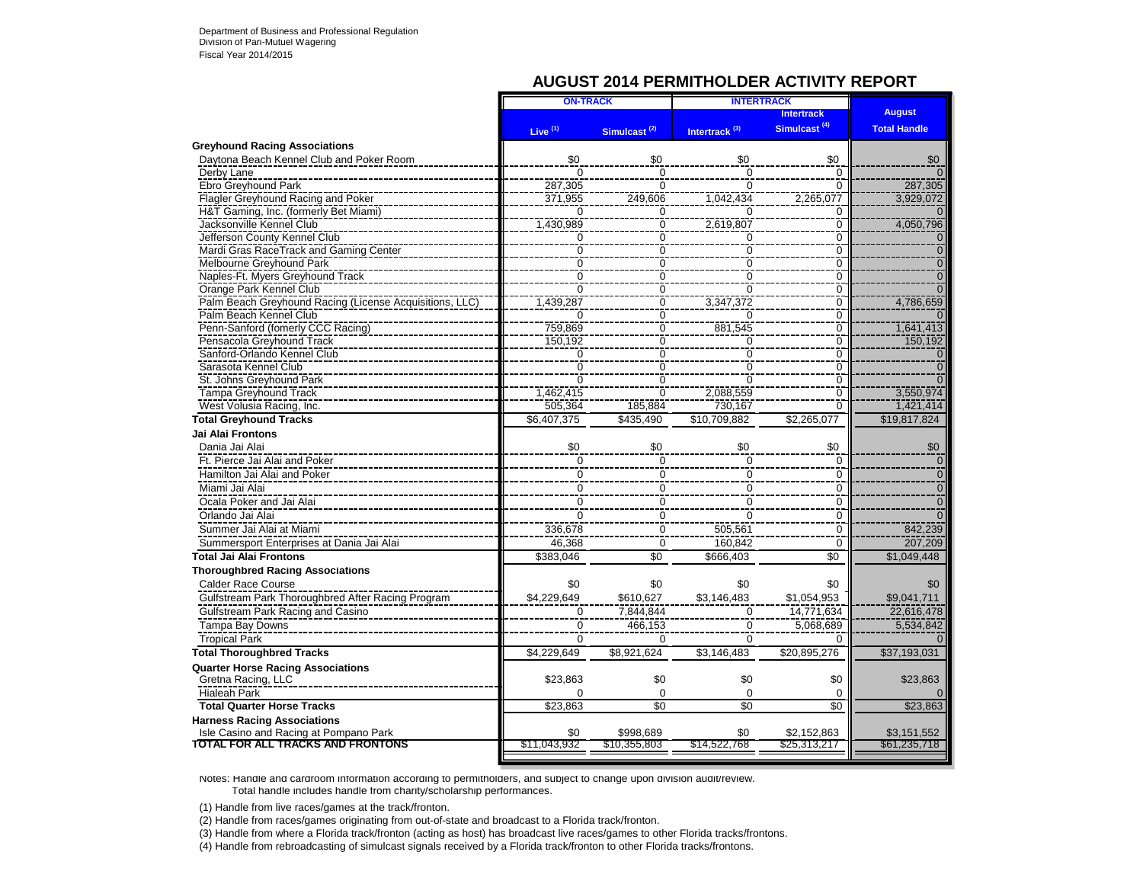### **AUGUST 2014 PERMITHOLDER ACTIVITY REPORT**

| <b>August</b><br><b>Intertrack</b><br>Simulcast <sup>(4)</sup><br><b>Total Handle</b><br>Live <sup>(1)</sup><br>Intertrack <sup>(3)</sup><br>Simulcast <sup>(2)</sup><br><b>Greyhound Racing Associations</b><br>Daytona Beach Kennel Club and Poker Room<br>\$0<br>\$0<br>\$0<br>\$0<br>\$0<br>Derby Lane<br>$\overline{0}$<br>$\Omega$<br>0<br>$\Omega$<br>$\Omega$<br>Ebro Greyhound Park<br>$\overline{0}$<br>287.305<br>287.305<br>$\overline{0}$<br>$\Omega$<br>Flagler Greyhound Racing and Poker<br>2,265,077<br>3.929.072<br>371,955<br>1.042.434<br>249.606<br>H&T Gaming, Inc. (formerly Bet Miami)<br>$\Omega$<br>$\Omega$<br>$\Omega$<br>$\Omega$<br>O<br>Jacksonville Kennel Club<br>$\overline{0}$<br>1,430,989<br>4,050,796<br>2,619,807<br>$\overline{0}$<br>$\overline{0}$<br>Jefferson County Kennel Club<br>$\overline{0}$<br>$\overline{0}$<br>0<br>$\Omega$<br>$\overline{0}$<br>Mardi Gras RaceTrack and Gaming Center<br>$\overline{0}$<br>$\overline{0}$<br>$\overline{0}$<br>$\overline{0}$<br>$\overline{0}$<br>$\overline{0}$<br>$\overline{0}$<br>$\overline{0}$<br>$\overline{0}$<br>Melbourne Greyhound Park<br>$\overline{0}$<br>$\overline{0}$<br>$\overline{0}$<br>$\overline{0}$<br>$\overline{0}$<br>Naples-Ft. Myers Greyhound Track<br>$\overline{0}$<br>$\overline{0}$<br>$\overline{0}$<br>$\overline{0}$<br>Orange Park Kennel Club<br>$\overline{0}$<br>Palm Beach Greyhound Racing (License Acquisitions, LLC)<br>4,786,659<br>1,439,287<br>$\Omega$<br>3.347.372<br>0<br>Palm Beach Kennel Club<br>$\overline{0}$<br>ō<br>$\Omega$<br>0<br>ŋ<br>Penn-Sanford (fomerly CCC Racing)<br>$\overline{0}$<br>$\overline{0}$<br>1,641,413<br>759.869<br>881,545<br>Pensacola Greyhound Track<br>$\overline{0}$<br>150,192<br>$\overline{0}$<br>150,192<br>0<br>$\overline{0}$<br>Sanford-Orlando Kennel Club<br>$\overline{0}$<br>$\overline{0}$<br>Ō<br>$\Omega$<br>$\frac{0}{0}$<br>$\overline{0}$<br>$\overline{0}$<br>$\overline{0}$<br>Sarasota Kennel Club<br>$\overline{0}$<br>$\overline{0}$<br>$\overline{0}$<br>$\overline{0}$<br>St. Johns Greyhound Park<br>$\overline{0}$<br>$\overline{0}$<br>$\overline{0}$<br>1,462,415<br>3,550,974<br><b>Tampa Greyhound Track</b><br>2,088,559<br>$\overline{0}$<br>West Volusia Racing, Inc.<br>185,884<br>1.421.414<br>505.364<br>730.167<br><b>Total Greyhound Tracks</b><br>\$19.817.824<br>\$6,407,375<br>\$435,490<br>\$10,709,882<br>\$2.265.077<br>Jai Alai Frontons<br>Dania Jai Alai<br>\$0<br>\$0<br>\$0<br>\$0<br>\$0<br>Ft. Pierce Jai Alai and Poker<br>$\Omega$<br>$\Omega$<br>$\Omega$<br>$\Omega$<br>0<br>Hamilton Jai Alai and Poker<br>$\mathbf 0$<br>$\mathbf 0$<br>$\mathbf 0$<br>0<br>0<br>$\overline{0}$<br>$\overline{0}$<br>$\overline{0}$<br>Miami Jai Alai<br>$\overline{0}$<br>$\Omega$<br>Ocala Poker and Jai Alai<br>$\mathbf 0$<br>$\Omega$<br>$\mathbf 0$<br>$\overline{0}$<br>$\mathbf 0$<br>$\overline{\overline{0}}$<br>$\overline{0}$<br>Orlando Jai Alai<br>$\Omega$<br>$\Omega$<br>$\Omega$<br>$\overline{0}$<br>Summer Jai Alai at Miami<br>842,239<br>336,678<br>505,561<br>0<br>÷<br>Summersport Enterprises at Dania Jai Alai<br>207,209<br>46,368<br>$\Omega$<br>160,842<br>0<br>\$0<br>\$0<br>Total Jai Alai Frontons<br>\$383,046<br>\$666,403<br>\$1,049,448<br><b>Calder Race Course</b><br>\$0<br>\$0<br>\$0<br>\$0<br>\$0<br>Gulfstream Park Thoroughbred After Racing Program<br>\$4,229,649<br>\$1.054.953<br>\$610,627<br>\$3.146.483<br>\$9,041,711<br>Gulfstream Park Racing and Casino<br>7,844,844<br>22.616.478<br>$\Omega$<br>$\Omega$<br>14.771.634<br>Tampa Bay Downs<br>$\overline{0}$<br>$\overline{0}$<br>5.534.842<br>466.153<br>5.068.689<br><b>Tropical Park</b><br>$\Omega$<br>$\Omega$<br>$\Omega$<br><sup>0</sup><br>\$4,229,649<br>\$8,921,624<br>\$3.146.483<br>\$20,895,276<br>\$37,193,031<br>\$23,863<br>Gretna Racing, LLC<br>\$23,863<br>\$0<br>\$0<br>\$0<br><b>Hialeah Park</b><br>$\Omega$<br>$\Omega$<br>$\Omega$<br>$\Omega$<br><b>Total Quarter Horse Tracks</b><br>\$23,863<br>$\overline{50}$<br>$\overline{50}$<br>\$0<br>\$23,863<br><b>Harness Racing Associations</b><br>Isle Casino and Racing at Pompano Park<br>\$0<br>\$998,689<br>\$0<br>\$2,152,863<br>\$3,151,552<br><b>TOTAL FOR ALL TRACKS AND FRONTONS</b><br>\$11,043,932<br>\$61,235,718<br>\$10,355,803<br>\$14,522,768<br>\$25,313,217 | <b>ON-TRACK</b> | <b>INTERTRACK</b> |  |
|--------------------------------------------------------------------------------------------------------------------------------------------------------------------------------------------------------------------------------------------------------------------------------------------------------------------------------------------------------------------------------------------------------------------------------------------------------------------------------------------------------------------------------------------------------------------------------------------------------------------------------------------------------------------------------------------------------------------------------------------------------------------------------------------------------------------------------------------------------------------------------------------------------------------------------------------------------------------------------------------------------------------------------------------------------------------------------------------------------------------------------------------------------------------------------------------------------------------------------------------------------------------------------------------------------------------------------------------------------------------------------------------------------------------------------------------------------------------------------------------------------------------------------------------------------------------------------------------------------------------------------------------------------------------------------------------------------------------------------------------------------------------------------------------------------------------------------------------------------------------------------------------------------------------------------------------------------------------------------------------------------------------------------------------------------------------------------------------------------------------------------------------------------------------------------------------------------------------------------------------------------------------------------------------------------------------------------------------------------------------------------------------------------------------------------------------------------------------------------------------------------------------------------------------------------------------------------------------------------------------------------------------------------------------------------------------------------------------------------------------------------------------------------------------------------------------------------------------------------------------------------------------------------------------------------------------------------------------------------------------------------------------------------------------------------------------------------------------------------------------------------------------------------------------------------------------------------------------------------------------------------------------------------------------------------------------------------------------------------------------------------------------------------------------------------------------------------------------------------------------------------------------------------------------------------------------------------------------------------------------------------------------------------------------------------------------------------------------------------------------------------------------------------------------------------------------------------------------------------------------------------------------------------------------------------------------------------------------------------------------------------------------------------------------------------------------------------------------------------------------------------------------------------------------------------------------------------------------------------------------------------------------------------------------------------------------------------------------------------------------------------------|-----------------|-------------------|--|
| <b>Thoroughbred Racing Associations</b><br><b>Total Thoroughbred Tracks</b><br><b>Quarter Horse Racing Associations</b>                                                                                                                                                                                                                                                                                                                                                                                                                                                                                                                                                                                                                                                                                                                                                                                                                                                                                                                                                                                                                                                                                                                                                                                                                                                                                                                                                                                                                                                                                                                                                                                                                                                                                                                                                                                                                                                                                                                                                                                                                                                                                                                                                                                                                                                                                                                                                                                                                                                                                                                                                                                                                                                                                                                                                                                                                                                                                                                                                                                                                                                                                                                                                                                                                                                                                                                                                                                                                                                                                                                                                                                                                                                                                                                                                                                                                                                                                                                                                                                                                                                                                                                                                                                                                                                              |                 |                   |  |
|                                                                                                                                                                                                                                                                                                                                                                                                                                                                                                                                                                                                                                                                                                                                                                                                                                                                                                                                                                                                                                                                                                                                                                                                                                                                                                                                                                                                                                                                                                                                                                                                                                                                                                                                                                                                                                                                                                                                                                                                                                                                                                                                                                                                                                                                                                                                                                                                                                                                                                                                                                                                                                                                                                                                                                                                                                                                                                                                                                                                                                                                                                                                                                                                                                                                                                                                                                                                                                                                                                                                                                                                                                                                                                                                                                                                                                                                                                                                                                                                                                                                                                                                                                                                                                                                                                                                                                                      |                 |                   |  |
|                                                                                                                                                                                                                                                                                                                                                                                                                                                                                                                                                                                                                                                                                                                                                                                                                                                                                                                                                                                                                                                                                                                                                                                                                                                                                                                                                                                                                                                                                                                                                                                                                                                                                                                                                                                                                                                                                                                                                                                                                                                                                                                                                                                                                                                                                                                                                                                                                                                                                                                                                                                                                                                                                                                                                                                                                                                                                                                                                                                                                                                                                                                                                                                                                                                                                                                                                                                                                                                                                                                                                                                                                                                                                                                                                                                                                                                                                                                                                                                                                                                                                                                                                                                                                                                                                                                                                                                      |                 |                   |  |
|                                                                                                                                                                                                                                                                                                                                                                                                                                                                                                                                                                                                                                                                                                                                                                                                                                                                                                                                                                                                                                                                                                                                                                                                                                                                                                                                                                                                                                                                                                                                                                                                                                                                                                                                                                                                                                                                                                                                                                                                                                                                                                                                                                                                                                                                                                                                                                                                                                                                                                                                                                                                                                                                                                                                                                                                                                                                                                                                                                                                                                                                                                                                                                                                                                                                                                                                                                                                                                                                                                                                                                                                                                                                                                                                                                                                                                                                                                                                                                                                                                                                                                                                                                                                                                                                                                                                                                                      |                 |                   |  |
|                                                                                                                                                                                                                                                                                                                                                                                                                                                                                                                                                                                                                                                                                                                                                                                                                                                                                                                                                                                                                                                                                                                                                                                                                                                                                                                                                                                                                                                                                                                                                                                                                                                                                                                                                                                                                                                                                                                                                                                                                                                                                                                                                                                                                                                                                                                                                                                                                                                                                                                                                                                                                                                                                                                                                                                                                                                                                                                                                                                                                                                                                                                                                                                                                                                                                                                                                                                                                                                                                                                                                                                                                                                                                                                                                                                                                                                                                                                                                                                                                                                                                                                                                                                                                                                                                                                                                                                      |                 |                   |  |
|                                                                                                                                                                                                                                                                                                                                                                                                                                                                                                                                                                                                                                                                                                                                                                                                                                                                                                                                                                                                                                                                                                                                                                                                                                                                                                                                                                                                                                                                                                                                                                                                                                                                                                                                                                                                                                                                                                                                                                                                                                                                                                                                                                                                                                                                                                                                                                                                                                                                                                                                                                                                                                                                                                                                                                                                                                                                                                                                                                                                                                                                                                                                                                                                                                                                                                                                                                                                                                                                                                                                                                                                                                                                                                                                                                                                                                                                                                                                                                                                                                                                                                                                                                                                                                                                                                                                                                                      |                 |                   |  |
|                                                                                                                                                                                                                                                                                                                                                                                                                                                                                                                                                                                                                                                                                                                                                                                                                                                                                                                                                                                                                                                                                                                                                                                                                                                                                                                                                                                                                                                                                                                                                                                                                                                                                                                                                                                                                                                                                                                                                                                                                                                                                                                                                                                                                                                                                                                                                                                                                                                                                                                                                                                                                                                                                                                                                                                                                                                                                                                                                                                                                                                                                                                                                                                                                                                                                                                                                                                                                                                                                                                                                                                                                                                                                                                                                                                                                                                                                                                                                                                                                                                                                                                                                                                                                                                                                                                                                                                      |                 |                   |  |
|                                                                                                                                                                                                                                                                                                                                                                                                                                                                                                                                                                                                                                                                                                                                                                                                                                                                                                                                                                                                                                                                                                                                                                                                                                                                                                                                                                                                                                                                                                                                                                                                                                                                                                                                                                                                                                                                                                                                                                                                                                                                                                                                                                                                                                                                                                                                                                                                                                                                                                                                                                                                                                                                                                                                                                                                                                                                                                                                                                                                                                                                                                                                                                                                                                                                                                                                                                                                                                                                                                                                                                                                                                                                                                                                                                                                                                                                                                                                                                                                                                                                                                                                                                                                                                                                                                                                                                                      |                 |                   |  |
|                                                                                                                                                                                                                                                                                                                                                                                                                                                                                                                                                                                                                                                                                                                                                                                                                                                                                                                                                                                                                                                                                                                                                                                                                                                                                                                                                                                                                                                                                                                                                                                                                                                                                                                                                                                                                                                                                                                                                                                                                                                                                                                                                                                                                                                                                                                                                                                                                                                                                                                                                                                                                                                                                                                                                                                                                                                                                                                                                                                                                                                                                                                                                                                                                                                                                                                                                                                                                                                                                                                                                                                                                                                                                                                                                                                                                                                                                                                                                                                                                                                                                                                                                                                                                                                                                                                                                                                      |                 |                   |  |
|                                                                                                                                                                                                                                                                                                                                                                                                                                                                                                                                                                                                                                                                                                                                                                                                                                                                                                                                                                                                                                                                                                                                                                                                                                                                                                                                                                                                                                                                                                                                                                                                                                                                                                                                                                                                                                                                                                                                                                                                                                                                                                                                                                                                                                                                                                                                                                                                                                                                                                                                                                                                                                                                                                                                                                                                                                                                                                                                                                                                                                                                                                                                                                                                                                                                                                                                                                                                                                                                                                                                                                                                                                                                                                                                                                                                                                                                                                                                                                                                                                                                                                                                                                                                                                                                                                                                                                                      |                 |                   |  |
|                                                                                                                                                                                                                                                                                                                                                                                                                                                                                                                                                                                                                                                                                                                                                                                                                                                                                                                                                                                                                                                                                                                                                                                                                                                                                                                                                                                                                                                                                                                                                                                                                                                                                                                                                                                                                                                                                                                                                                                                                                                                                                                                                                                                                                                                                                                                                                                                                                                                                                                                                                                                                                                                                                                                                                                                                                                                                                                                                                                                                                                                                                                                                                                                                                                                                                                                                                                                                                                                                                                                                                                                                                                                                                                                                                                                                                                                                                                                                                                                                                                                                                                                                                                                                                                                                                                                                                                      |                 |                   |  |
|                                                                                                                                                                                                                                                                                                                                                                                                                                                                                                                                                                                                                                                                                                                                                                                                                                                                                                                                                                                                                                                                                                                                                                                                                                                                                                                                                                                                                                                                                                                                                                                                                                                                                                                                                                                                                                                                                                                                                                                                                                                                                                                                                                                                                                                                                                                                                                                                                                                                                                                                                                                                                                                                                                                                                                                                                                                                                                                                                                                                                                                                                                                                                                                                                                                                                                                                                                                                                                                                                                                                                                                                                                                                                                                                                                                                                                                                                                                                                                                                                                                                                                                                                                                                                                                                                                                                                                                      |                 |                   |  |
|                                                                                                                                                                                                                                                                                                                                                                                                                                                                                                                                                                                                                                                                                                                                                                                                                                                                                                                                                                                                                                                                                                                                                                                                                                                                                                                                                                                                                                                                                                                                                                                                                                                                                                                                                                                                                                                                                                                                                                                                                                                                                                                                                                                                                                                                                                                                                                                                                                                                                                                                                                                                                                                                                                                                                                                                                                                                                                                                                                                                                                                                                                                                                                                                                                                                                                                                                                                                                                                                                                                                                                                                                                                                                                                                                                                                                                                                                                                                                                                                                                                                                                                                                                                                                                                                                                                                                                                      |                 |                   |  |
|                                                                                                                                                                                                                                                                                                                                                                                                                                                                                                                                                                                                                                                                                                                                                                                                                                                                                                                                                                                                                                                                                                                                                                                                                                                                                                                                                                                                                                                                                                                                                                                                                                                                                                                                                                                                                                                                                                                                                                                                                                                                                                                                                                                                                                                                                                                                                                                                                                                                                                                                                                                                                                                                                                                                                                                                                                                                                                                                                                                                                                                                                                                                                                                                                                                                                                                                                                                                                                                                                                                                                                                                                                                                                                                                                                                                                                                                                                                                                                                                                                                                                                                                                                                                                                                                                                                                                                                      |                 |                   |  |
|                                                                                                                                                                                                                                                                                                                                                                                                                                                                                                                                                                                                                                                                                                                                                                                                                                                                                                                                                                                                                                                                                                                                                                                                                                                                                                                                                                                                                                                                                                                                                                                                                                                                                                                                                                                                                                                                                                                                                                                                                                                                                                                                                                                                                                                                                                                                                                                                                                                                                                                                                                                                                                                                                                                                                                                                                                                                                                                                                                                                                                                                                                                                                                                                                                                                                                                                                                                                                                                                                                                                                                                                                                                                                                                                                                                                                                                                                                                                                                                                                                                                                                                                                                                                                                                                                                                                                                                      |                 |                   |  |
|                                                                                                                                                                                                                                                                                                                                                                                                                                                                                                                                                                                                                                                                                                                                                                                                                                                                                                                                                                                                                                                                                                                                                                                                                                                                                                                                                                                                                                                                                                                                                                                                                                                                                                                                                                                                                                                                                                                                                                                                                                                                                                                                                                                                                                                                                                                                                                                                                                                                                                                                                                                                                                                                                                                                                                                                                                                                                                                                                                                                                                                                                                                                                                                                                                                                                                                                                                                                                                                                                                                                                                                                                                                                                                                                                                                                                                                                                                                                                                                                                                                                                                                                                                                                                                                                                                                                                                                      |                 |                   |  |
|                                                                                                                                                                                                                                                                                                                                                                                                                                                                                                                                                                                                                                                                                                                                                                                                                                                                                                                                                                                                                                                                                                                                                                                                                                                                                                                                                                                                                                                                                                                                                                                                                                                                                                                                                                                                                                                                                                                                                                                                                                                                                                                                                                                                                                                                                                                                                                                                                                                                                                                                                                                                                                                                                                                                                                                                                                                                                                                                                                                                                                                                                                                                                                                                                                                                                                                                                                                                                                                                                                                                                                                                                                                                                                                                                                                                                                                                                                                                                                                                                                                                                                                                                                                                                                                                                                                                                                                      |                 |                   |  |
|                                                                                                                                                                                                                                                                                                                                                                                                                                                                                                                                                                                                                                                                                                                                                                                                                                                                                                                                                                                                                                                                                                                                                                                                                                                                                                                                                                                                                                                                                                                                                                                                                                                                                                                                                                                                                                                                                                                                                                                                                                                                                                                                                                                                                                                                                                                                                                                                                                                                                                                                                                                                                                                                                                                                                                                                                                                                                                                                                                                                                                                                                                                                                                                                                                                                                                                                                                                                                                                                                                                                                                                                                                                                                                                                                                                                                                                                                                                                                                                                                                                                                                                                                                                                                                                                                                                                                                                      |                 |                   |  |
|                                                                                                                                                                                                                                                                                                                                                                                                                                                                                                                                                                                                                                                                                                                                                                                                                                                                                                                                                                                                                                                                                                                                                                                                                                                                                                                                                                                                                                                                                                                                                                                                                                                                                                                                                                                                                                                                                                                                                                                                                                                                                                                                                                                                                                                                                                                                                                                                                                                                                                                                                                                                                                                                                                                                                                                                                                                                                                                                                                                                                                                                                                                                                                                                                                                                                                                                                                                                                                                                                                                                                                                                                                                                                                                                                                                                                                                                                                                                                                                                                                                                                                                                                                                                                                                                                                                                                                                      |                 |                   |  |
|                                                                                                                                                                                                                                                                                                                                                                                                                                                                                                                                                                                                                                                                                                                                                                                                                                                                                                                                                                                                                                                                                                                                                                                                                                                                                                                                                                                                                                                                                                                                                                                                                                                                                                                                                                                                                                                                                                                                                                                                                                                                                                                                                                                                                                                                                                                                                                                                                                                                                                                                                                                                                                                                                                                                                                                                                                                                                                                                                                                                                                                                                                                                                                                                                                                                                                                                                                                                                                                                                                                                                                                                                                                                                                                                                                                                                                                                                                                                                                                                                                                                                                                                                                                                                                                                                                                                                                                      |                 |                   |  |
|                                                                                                                                                                                                                                                                                                                                                                                                                                                                                                                                                                                                                                                                                                                                                                                                                                                                                                                                                                                                                                                                                                                                                                                                                                                                                                                                                                                                                                                                                                                                                                                                                                                                                                                                                                                                                                                                                                                                                                                                                                                                                                                                                                                                                                                                                                                                                                                                                                                                                                                                                                                                                                                                                                                                                                                                                                                                                                                                                                                                                                                                                                                                                                                                                                                                                                                                                                                                                                                                                                                                                                                                                                                                                                                                                                                                                                                                                                                                                                                                                                                                                                                                                                                                                                                                                                                                                                                      |                 |                   |  |
|                                                                                                                                                                                                                                                                                                                                                                                                                                                                                                                                                                                                                                                                                                                                                                                                                                                                                                                                                                                                                                                                                                                                                                                                                                                                                                                                                                                                                                                                                                                                                                                                                                                                                                                                                                                                                                                                                                                                                                                                                                                                                                                                                                                                                                                                                                                                                                                                                                                                                                                                                                                                                                                                                                                                                                                                                                                                                                                                                                                                                                                                                                                                                                                                                                                                                                                                                                                                                                                                                                                                                                                                                                                                                                                                                                                                                                                                                                                                                                                                                                                                                                                                                                                                                                                                                                                                                                                      |                 |                   |  |
|                                                                                                                                                                                                                                                                                                                                                                                                                                                                                                                                                                                                                                                                                                                                                                                                                                                                                                                                                                                                                                                                                                                                                                                                                                                                                                                                                                                                                                                                                                                                                                                                                                                                                                                                                                                                                                                                                                                                                                                                                                                                                                                                                                                                                                                                                                                                                                                                                                                                                                                                                                                                                                                                                                                                                                                                                                                                                                                                                                                                                                                                                                                                                                                                                                                                                                                                                                                                                                                                                                                                                                                                                                                                                                                                                                                                                                                                                                                                                                                                                                                                                                                                                                                                                                                                                                                                                                                      |                 |                   |  |
|                                                                                                                                                                                                                                                                                                                                                                                                                                                                                                                                                                                                                                                                                                                                                                                                                                                                                                                                                                                                                                                                                                                                                                                                                                                                                                                                                                                                                                                                                                                                                                                                                                                                                                                                                                                                                                                                                                                                                                                                                                                                                                                                                                                                                                                                                                                                                                                                                                                                                                                                                                                                                                                                                                                                                                                                                                                                                                                                                                                                                                                                                                                                                                                                                                                                                                                                                                                                                                                                                                                                                                                                                                                                                                                                                                                                                                                                                                                                                                                                                                                                                                                                                                                                                                                                                                                                                                                      |                 |                   |  |
|                                                                                                                                                                                                                                                                                                                                                                                                                                                                                                                                                                                                                                                                                                                                                                                                                                                                                                                                                                                                                                                                                                                                                                                                                                                                                                                                                                                                                                                                                                                                                                                                                                                                                                                                                                                                                                                                                                                                                                                                                                                                                                                                                                                                                                                                                                                                                                                                                                                                                                                                                                                                                                                                                                                                                                                                                                                                                                                                                                                                                                                                                                                                                                                                                                                                                                                                                                                                                                                                                                                                                                                                                                                                                                                                                                                                                                                                                                                                                                                                                                                                                                                                                                                                                                                                                                                                                                                      |                 |                   |  |
|                                                                                                                                                                                                                                                                                                                                                                                                                                                                                                                                                                                                                                                                                                                                                                                                                                                                                                                                                                                                                                                                                                                                                                                                                                                                                                                                                                                                                                                                                                                                                                                                                                                                                                                                                                                                                                                                                                                                                                                                                                                                                                                                                                                                                                                                                                                                                                                                                                                                                                                                                                                                                                                                                                                                                                                                                                                                                                                                                                                                                                                                                                                                                                                                                                                                                                                                                                                                                                                                                                                                                                                                                                                                                                                                                                                                                                                                                                                                                                                                                                                                                                                                                                                                                                                                                                                                                                                      |                 |                   |  |
|                                                                                                                                                                                                                                                                                                                                                                                                                                                                                                                                                                                                                                                                                                                                                                                                                                                                                                                                                                                                                                                                                                                                                                                                                                                                                                                                                                                                                                                                                                                                                                                                                                                                                                                                                                                                                                                                                                                                                                                                                                                                                                                                                                                                                                                                                                                                                                                                                                                                                                                                                                                                                                                                                                                                                                                                                                                                                                                                                                                                                                                                                                                                                                                                                                                                                                                                                                                                                                                                                                                                                                                                                                                                                                                                                                                                                                                                                                                                                                                                                                                                                                                                                                                                                                                                                                                                                                                      |                 |                   |  |
|                                                                                                                                                                                                                                                                                                                                                                                                                                                                                                                                                                                                                                                                                                                                                                                                                                                                                                                                                                                                                                                                                                                                                                                                                                                                                                                                                                                                                                                                                                                                                                                                                                                                                                                                                                                                                                                                                                                                                                                                                                                                                                                                                                                                                                                                                                                                                                                                                                                                                                                                                                                                                                                                                                                                                                                                                                                                                                                                                                                                                                                                                                                                                                                                                                                                                                                                                                                                                                                                                                                                                                                                                                                                                                                                                                                                                                                                                                                                                                                                                                                                                                                                                                                                                                                                                                                                                                                      |                 |                   |  |
|                                                                                                                                                                                                                                                                                                                                                                                                                                                                                                                                                                                                                                                                                                                                                                                                                                                                                                                                                                                                                                                                                                                                                                                                                                                                                                                                                                                                                                                                                                                                                                                                                                                                                                                                                                                                                                                                                                                                                                                                                                                                                                                                                                                                                                                                                                                                                                                                                                                                                                                                                                                                                                                                                                                                                                                                                                                                                                                                                                                                                                                                                                                                                                                                                                                                                                                                                                                                                                                                                                                                                                                                                                                                                                                                                                                                                                                                                                                                                                                                                                                                                                                                                                                                                                                                                                                                                                                      |                 |                   |  |
|                                                                                                                                                                                                                                                                                                                                                                                                                                                                                                                                                                                                                                                                                                                                                                                                                                                                                                                                                                                                                                                                                                                                                                                                                                                                                                                                                                                                                                                                                                                                                                                                                                                                                                                                                                                                                                                                                                                                                                                                                                                                                                                                                                                                                                                                                                                                                                                                                                                                                                                                                                                                                                                                                                                                                                                                                                                                                                                                                                                                                                                                                                                                                                                                                                                                                                                                                                                                                                                                                                                                                                                                                                                                                                                                                                                                                                                                                                                                                                                                                                                                                                                                                                                                                                                                                                                                                                                      |                 |                   |  |
|                                                                                                                                                                                                                                                                                                                                                                                                                                                                                                                                                                                                                                                                                                                                                                                                                                                                                                                                                                                                                                                                                                                                                                                                                                                                                                                                                                                                                                                                                                                                                                                                                                                                                                                                                                                                                                                                                                                                                                                                                                                                                                                                                                                                                                                                                                                                                                                                                                                                                                                                                                                                                                                                                                                                                                                                                                                                                                                                                                                                                                                                                                                                                                                                                                                                                                                                                                                                                                                                                                                                                                                                                                                                                                                                                                                                                                                                                                                                                                                                                                                                                                                                                                                                                                                                                                                                                                                      |                 |                   |  |
|                                                                                                                                                                                                                                                                                                                                                                                                                                                                                                                                                                                                                                                                                                                                                                                                                                                                                                                                                                                                                                                                                                                                                                                                                                                                                                                                                                                                                                                                                                                                                                                                                                                                                                                                                                                                                                                                                                                                                                                                                                                                                                                                                                                                                                                                                                                                                                                                                                                                                                                                                                                                                                                                                                                                                                                                                                                                                                                                                                                                                                                                                                                                                                                                                                                                                                                                                                                                                                                                                                                                                                                                                                                                                                                                                                                                                                                                                                                                                                                                                                                                                                                                                                                                                                                                                                                                                                                      |                 |                   |  |
|                                                                                                                                                                                                                                                                                                                                                                                                                                                                                                                                                                                                                                                                                                                                                                                                                                                                                                                                                                                                                                                                                                                                                                                                                                                                                                                                                                                                                                                                                                                                                                                                                                                                                                                                                                                                                                                                                                                                                                                                                                                                                                                                                                                                                                                                                                                                                                                                                                                                                                                                                                                                                                                                                                                                                                                                                                                                                                                                                                                                                                                                                                                                                                                                                                                                                                                                                                                                                                                                                                                                                                                                                                                                                                                                                                                                                                                                                                                                                                                                                                                                                                                                                                                                                                                                                                                                                                                      |                 |                   |  |
|                                                                                                                                                                                                                                                                                                                                                                                                                                                                                                                                                                                                                                                                                                                                                                                                                                                                                                                                                                                                                                                                                                                                                                                                                                                                                                                                                                                                                                                                                                                                                                                                                                                                                                                                                                                                                                                                                                                                                                                                                                                                                                                                                                                                                                                                                                                                                                                                                                                                                                                                                                                                                                                                                                                                                                                                                                                                                                                                                                                                                                                                                                                                                                                                                                                                                                                                                                                                                                                                                                                                                                                                                                                                                                                                                                                                                                                                                                                                                                                                                                                                                                                                                                                                                                                                                                                                                                                      |                 |                   |  |
|                                                                                                                                                                                                                                                                                                                                                                                                                                                                                                                                                                                                                                                                                                                                                                                                                                                                                                                                                                                                                                                                                                                                                                                                                                                                                                                                                                                                                                                                                                                                                                                                                                                                                                                                                                                                                                                                                                                                                                                                                                                                                                                                                                                                                                                                                                                                                                                                                                                                                                                                                                                                                                                                                                                                                                                                                                                                                                                                                                                                                                                                                                                                                                                                                                                                                                                                                                                                                                                                                                                                                                                                                                                                                                                                                                                                                                                                                                                                                                                                                                                                                                                                                                                                                                                                                                                                                                                      |                 |                   |  |
|                                                                                                                                                                                                                                                                                                                                                                                                                                                                                                                                                                                                                                                                                                                                                                                                                                                                                                                                                                                                                                                                                                                                                                                                                                                                                                                                                                                                                                                                                                                                                                                                                                                                                                                                                                                                                                                                                                                                                                                                                                                                                                                                                                                                                                                                                                                                                                                                                                                                                                                                                                                                                                                                                                                                                                                                                                                                                                                                                                                                                                                                                                                                                                                                                                                                                                                                                                                                                                                                                                                                                                                                                                                                                                                                                                                                                                                                                                                                                                                                                                                                                                                                                                                                                                                                                                                                                                                      |                 |                   |  |
|                                                                                                                                                                                                                                                                                                                                                                                                                                                                                                                                                                                                                                                                                                                                                                                                                                                                                                                                                                                                                                                                                                                                                                                                                                                                                                                                                                                                                                                                                                                                                                                                                                                                                                                                                                                                                                                                                                                                                                                                                                                                                                                                                                                                                                                                                                                                                                                                                                                                                                                                                                                                                                                                                                                                                                                                                                                                                                                                                                                                                                                                                                                                                                                                                                                                                                                                                                                                                                                                                                                                                                                                                                                                                                                                                                                                                                                                                                                                                                                                                                                                                                                                                                                                                                                                                                                                                                                      |                 |                   |  |
|                                                                                                                                                                                                                                                                                                                                                                                                                                                                                                                                                                                                                                                                                                                                                                                                                                                                                                                                                                                                                                                                                                                                                                                                                                                                                                                                                                                                                                                                                                                                                                                                                                                                                                                                                                                                                                                                                                                                                                                                                                                                                                                                                                                                                                                                                                                                                                                                                                                                                                                                                                                                                                                                                                                                                                                                                                                                                                                                                                                                                                                                                                                                                                                                                                                                                                                                                                                                                                                                                                                                                                                                                                                                                                                                                                                                                                                                                                                                                                                                                                                                                                                                                                                                                                                                                                                                                                                      |                 |                   |  |
|                                                                                                                                                                                                                                                                                                                                                                                                                                                                                                                                                                                                                                                                                                                                                                                                                                                                                                                                                                                                                                                                                                                                                                                                                                                                                                                                                                                                                                                                                                                                                                                                                                                                                                                                                                                                                                                                                                                                                                                                                                                                                                                                                                                                                                                                                                                                                                                                                                                                                                                                                                                                                                                                                                                                                                                                                                                                                                                                                                                                                                                                                                                                                                                                                                                                                                                                                                                                                                                                                                                                                                                                                                                                                                                                                                                                                                                                                                                                                                                                                                                                                                                                                                                                                                                                                                                                                                                      |                 |                   |  |
|                                                                                                                                                                                                                                                                                                                                                                                                                                                                                                                                                                                                                                                                                                                                                                                                                                                                                                                                                                                                                                                                                                                                                                                                                                                                                                                                                                                                                                                                                                                                                                                                                                                                                                                                                                                                                                                                                                                                                                                                                                                                                                                                                                                                                                                                                                                                                                                                                                                                                                                                                                                                                                                                                                                                                                                                                                                                                                                                                                                                                                                                                                                                                                                                                                                                                                                                                                                                                                                                                                                                                                                                                                                                                                                                                                                                                                                                                                                                                                                                                                                                                                                                                                                                                                                                                                                                                                                      |                 |                   |  |
|                                                                                                                                                                                                                                                                                                                                                                                                                                                                                                                                                                                                                                                                                                                                                                                                                                                                                                                                                                                                                                                                                                                                                                                                                                                                                                                                                                                                                                                                                                                                                                                                                                                                                                                                                                                                                                                                                                                                                                                                                                                                                                                                                                                                                                                                                                                                                                                                                                                                                                                                                                                                                                                                                                                                                                                                                                                                                                                                                                                                                                                                                                                                                                                                                                                                                                                                                                                                                                                                                                                                                                                                                                                                                                                                                                                                                                                                                                                                                                                                                                                                                                                                                                                                                                                                                                                                                                                      |                 |                   |  |
|                                                                                                                                                                                                                                                                                                                                                                                                                                                                                                                                                                                                                                                                                                                                                                                                                                                                                                                                                                                                                                                                                                                                                                                                                                                                                                                                                                                                                                                                                                                                                                                                                                                                                                                                                                                                                                                                                                                                                                                                                                                                                                                                                                                                                                                                                                                                                                                                                                                                                                                                                                                                                                                                                                                                                                                                                                                                                                                                                                                                                                                                                                                                                                                                                                                                                                                                                                                                                                                                                                                                                                                                                                                                                                                                                                                                                                                                                                                                                                                                                                                                                                                                                                                                                                                                                                                                                                                      |                 |                   |  |
|                                                                                                                                                                                                                                                                                                                                                                                                                                                                                                                                                                                                                                                                                                                                                                                                                                                                                                                                                                                                                                                                                                                                                                                                                                                                                                                                                                                                                                                                                                                                                                                                                                                                                                                                                                                                                                                                                                                                                                                                                                                                                                                                                                                                                                                                                                                                                                                                                                                                                                                                                                                                                                                                                                                                                                                                                                                                                                                                                                                                                                                                                                                                                                                                                                                                                                                                                                                                                                                                                                                                                                                                                                                                                                                                                                                                                                                                                                                                                                                                                                                                                                                                                                                                                                                                                                                                                                                      |                 |                   |  |
|                                                                                                                                                                                                                                                                                                                                                                                                                                                                                                                                                                                                                                                                                                                                                                                                                                                                                                                                                                                                                                                                                                                                                                                                                                                                                                                                                                                                                                                                                                                                                                                                                                                                                                                                                                                                                                                                                                                                                                                                                                                                                                                                                                                                                                                                                                                                                                                                                                                                                                                                                                                                                                                                                                                                                                                                                                                                                                                                                                                                                                                                                                                                                                                                                                                                                                                                                                                                                                                                                                                                                                                                                                                                                                                                                                                                                                                                                                                                                                                                                                                                                                                                                                                                                                                                                                                                                                                      |                 |                   |  |
|                                                                                                                                                                                                                                                                                                                                                                                                                                                                                                                                                                                                                                                                                                                                                                                                                                                                                                                                                                                                                                                                                                                                                                                                                                                                                                                                                                                                                                                                                                                                                                                                                                                                                                                                                                                                                                                                                                                                                                                                                                                                                                                                                                                                                                                                                                                                                                                                                                                                                                                                                                                                                                                                                                                                                                                                                                                                                                                                                                                                                                                                                                                                                                                                                                                                                                                                                                                                                                                                                                                                                                                                                                                                                                                                                                                                                                                                                                                                                                                                                                                                                                                                                                                                                                                                                                                                                                                      |                 |                   |  |
|                                                                                                                                                                                                                                                                                                                                                                                                                                                                                                                                                                                                                                                                                                                                                                                                                                                                                                                                                                                                                                                                                                                                                                                                                                                                                                                                                                                                                                                                                                                                                                                                                                                                                                                                                                                                                                                                                                                                                                                                                                                                                                                                                                                                                                                                                                                                                                                                                                                                                                                                                                                                                                                                                                                                                                                                                                                                                                                                                                                                                                                                                                                                                                                                                                                                                                                                                                                                                                                                                                                                                                                                                                                                                                                                                                                                                                                                                                                                                                                                                                                                                                                                                                                                                                                                                                                                                                                      |                 |                   |  |
|                                                                                                                                                                                                                                                                                                                                                                                                                                                                                                                                                                                                                                                                                                                                                                                                                                                                                                                                                                                                                                                                                                                                                                                                                                                                                                                                                                                                                                                                                                                                                                                                                                                                                                                                                                                                                                                                                                                                                                                                                                                                                                                                                                                                                                                                                                                                                                                                                                                                                                                                                                                                                                                                                                                                                                                                                                                                                                                                                                                                                                                                                                                                                                                                                                                                                                                                                                                                                                                                                                                                                                                                                                                                                                                                                                                                                                                                                                                                                                                                                                                                                                                                                                                                                                                                                                                                                                                      |                 |                   |  |
|                                                                                                                                                                                                                                                                                                                                                                                                                                                                                                                                                                                                                                                                                                                                                                                                                                                                                                                                                                                                                                                                                                                                                                                                                                                                                                                                                                                                                                                                                                                                                                                                                                                                                                                                                                                                                                                                                                                                                                                                                                                                                                                                                                                                                                                                                                                                                                                                                                                                                                                                                                                                                                                                                                                                                                                                                                                                                                                                                                                                                                                                                                                                                                                                                                                                                                                                                                                                                                                                                                                                                                                                                                                                                                                                                                                                                                                                                                                                                                                                                                                                                                                                                                                                                                                                                                                                                                                      |                 |                   |  |
|                                                                                                                                                                                                                                                                                                                                                                                                                                                                                                                                                                                                                                                                                                                                                                                                                                                                                                                                                                                                                                                                                                                                                                                                                                                                                                                                                                                                                                                                                                                                                                                                                                                                                                                                                                                                                                                                                                                                                                                                                                                                                                                                                                                                                                                                                                                                                                                                                                                                                                                                                                                                                                                                                                                                                                                                                                                                                                                                                                                                                                                                                                                                                                                                                                                                                                                                                                                                                                                                                                                                                                                                                                                                                                                                                                                                                                                                                                                                                                                                                                                                                                                                                                                                                                                                                                                                                                                      |                 |                   |  |

Notes: Handle and cardroom information according to permitholders, and subject to change upon division audit/review. Total handle includes handle from charity/scholarship performances.

(1) Handle from live races/games at the track/fronton.

(2) Handle from races/games originating from out-of-state and broadcast to a Florida track/fronton.

(3) Handle from where a Florida track/fronton (acting as host) has broadcast live races/games to other Florida tracks/frontons.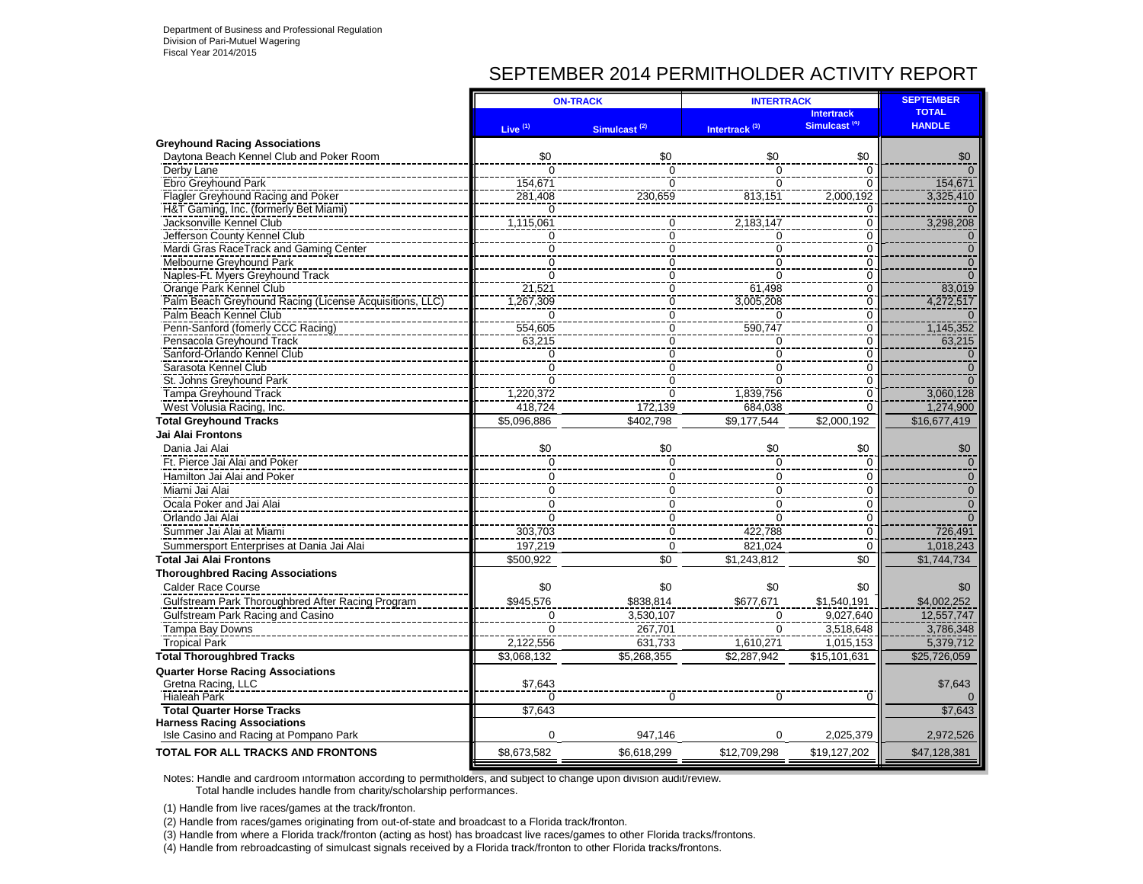# SEPTEMBER 2014 PERMITHOLDER ACTIVITY REPORT

|                                                                             |                     | <b>ON-TRACK</b>            | <b>INTERTRACK</b>          | <b>SEPTEMBER</b>           |                |
|-----------------------------------------------------------------------------|---------------------|----------------------------|----------------------------|----------------------------|----------------|
|                                                                             |                     |                            |                            | <b>Intertrack</b>          | <b>TOTAL</b>   |
|                                                                             | Live <sup>(1)</sup> | Simulcast <sup>(2)</sup>   | Intertrack <sup>(3)</sup>  | Simulcast <sup>(4)</sup>   | <b>HANDLE</b>  |
| <b>Greyhound Racing Associations</b>                                        |                     |                            |                            |                            |                |
| Daytona Beach Kennel Club and Poker Room                                    | \$0                 | \$0                        | \$0                        | \$0                        | \$0            |
| Derby Lane                                                                  | $\Omega$            | $\Omega$<br>$\overline{0}$ | $\Omega$<br>$\overline{0}$ | $\Omega$<br>$\overline{0}$ |                |
| Ebro Greyhound Park                                                         | 154,671             |                            |                            | 2,000,192                  | 154,671        |
| Flagler Greyhound Racing and Poker<br>H&T Gaming, Inc. (formerly Bet Miami) | 281,408             | 230,659                    | 813,151                    |                            | 3,325,410      |
| Jacksonville Kennel Club                                                    | 1,115,061           | 0                          | 2,183,147                  | C<br>$\overline{0}$        | 3,298,208      |
| Jefferson County Kennel Club                                                | $\Omega$            | $\Omega$                   |                            | $\Omega$                   |                |
| Mardi Gras RaceTrack and Gaming Center                                      | $\overline{0}$      | 0                          | $\Omega$<br>$\overline{0}$ | $\Omega$                   | $\Omega$       |
| Melbourne Greyhound Park                                                    | $\overline{0}$      | 0                          | $\overline{0}$             | Ō                          | $\overline{0}$ |
| Naples-Ft. Myers Greyhound Track                                            | $\overline{0}$      | 0                          | $\overline{0}$             | 0                          |                |
| Orange Park Kennel Club                                                     | 21,521              | $\Omega$                   | 61,498                     | 0                          | 83,019         |
| Palm Beach Greyhound Racing (License Acquisitions, LLC)                     | 1,267,309           | $\overline{0}$             | 3,005,208                  | $\overline{0}$             | 4,272,517      |
| Palm Beach Kennel Club                                                      | $\Omega$            | $\overline{0}$             | $\Omega$                   | $\overline{0}$             |                |
| Penn-Sanford (fomerly CCC Racing)                                           | 554,605             | $\overline{0}$             | 590,747                    | $\frac{8}{0}$              | 1,145,352      |
| Pensacola Greyhound Track                                                   | 63,215              | 0                          | 0                          | 0                          | 63,215         |
| Sanford-Orlando Kennel Club                                                 | 0                   | 0                          | 0                          | 0                          | $\Omega$       |
| Sarasota Kennel Club                                                        | $\mathbf 0$         | $\Omega$                   | $\mathbf 0$                | $\mathbf 0$                | $\Omega$       |
| St. Johns Greyhound Park                                                    | $\Omega$            | $\Omega$                   | $\overline{0}$             | $\overline{0}$             |                |
| <b>Tampa Greyhound Track</b>                                                | 1,220,372           | $\Omega$                   | 1.839.756                  | $\overline{0}$             | 3,060,128      |
| West Volusia Racing, Inc.                                                   | 418,724             | 172,139                    | 684,038                    | 0                          | 1,274,900      |
| <b>Total Greyhound Tracks</b>                                               | \$5,096,886         | \$402,798                  | \$9.177.544                | \$2,000,192                | \$16,677,419   |
| <b>Jai Alai Frontons</b>                                                    |                     |                            |                            |                            |                |
| Dania Jai Alai                                                              | \$0                 | \$0                        | \$0                        | \$0                        | \$0            |
| Ft. Pierce Jai Alai and Poker                                               | 0                   | $\Omega$                   | 0                          | 0                          | $\Omega$       |
| Hamilton Jai Alai and Poker                                                 | $\mathbf 0$         | $\Omega$                   | $\mathbf 0$                | $\mathbf 0$                | $\overline{0}$ |
| Miami Jai Alai                                                              | 0                   | $\Omega$                   | $\mathbf 0$                | $\mathbf 0$                | $\overline{0}$ |
| Ocala Poker and Jai Alai                                                    | $\mathbf 0$         | 0                          | $\mathbf 0$                | 0                          | $\overline{0}$ |
| Orlando Jai Alai                                                            | $\mathbf 0$         | $\Omega$                   | $\mathbf 0$                | $\mathbf 0$                | $\Omega$       |
| Summer Jai Alai at Miami                                                    | 303,703             | $\Omega$                   | 422,788                    | $\Omega$                   | 726,491        |
| Summersport Enterprises at Dania Jai Alai                                   | 197,219             | $\Omega$                   | 821.024                    | $\overline{0}$             | 1.018.243      |
| Total Jai Alai Frontons                                                     | \$500,922           | \$0                        | \$1,243,812                | \$0                        | \$1,744,734    |
| <b>Thoroughbred Racing Associations</b>                                     |                     |                            |                            |                            |                |
| Calder Race Course                                                          | \$0                 | \$0                        | \$0                        | \$0                        | \$0            |
| Gulfstream Park Thoroughbred After Racing Program                           | \$945,576           | \$838,814                  | \$677,671                  | \$1,540,191                | \$4,002,252    |
| Gulfstream Park Racing and Casino                                           | $\Omega$            | 3,530,107                  | $\Omega$                   | 9,027,640                  | 12,557,747     |
| <b>Tampa Bay Downs</b>                                                      | $\Omega$            | 267,701                    | $\Omega$                   | 3,518,648                  | 3.786.348      |
| <b>Tropical Park</b>                                                        | 2,122,556           | 631,733                    | 1,610,271                  | 1,015,153                  | 5,379,712      |
| <b>Total Thoroughbred Tracks</b>                                            | \$3.068.132         | \$5.268.355                | \$2.287.942                | \$15,101,631               | \$25,726,059   |
|                                                                             |                     |                            |                            |                            |                |
| <b>Quarter Horse Racing Associations</b><br>Gretna Racing, LLC              | \$7,643             |                            |                            |                            | \$7,643        |
| <b>Hialeah Park</b>                                                         | $\Omega$            | O                          |                            | 0                          |                |
| <b>Total Quarter Horse Tracks</b>                                           | \$7.643             |                            | $\Omega$                   |                            | \$7.643        |
| <b>Harness Racing Associations</b>                                          |                     |                            |                            |                            |                |
| Isle Casino and Racing at Pompano Park                                      | $\Omega$            | 947.146                    | $\Omega$                   | 2,025,379                  | 2,972,526      |
| TOTAL FOR ALL TRACKS AND FRONTONS                                           | \$8,673,582         | \$6,618,299                | \$12,709,298               | \$19,127,202               | \$47,128,381   |
|                                                                             |                     |                            |                            |                            |                |

Notes: Handle and cardroom information according to permitholders, and subject to change upon division audit/review. Total handle includes handle from charity/scholarship performances.

(1) Handle from live races/games at the track/fronton.

(2) Handle from races/games originating from out-of-state and broadcast to a Florida track/fronton.

(3) Handle from where a Florida track/fronton (acting as host) has broadcast live races/games to other Florida tracks/frontons.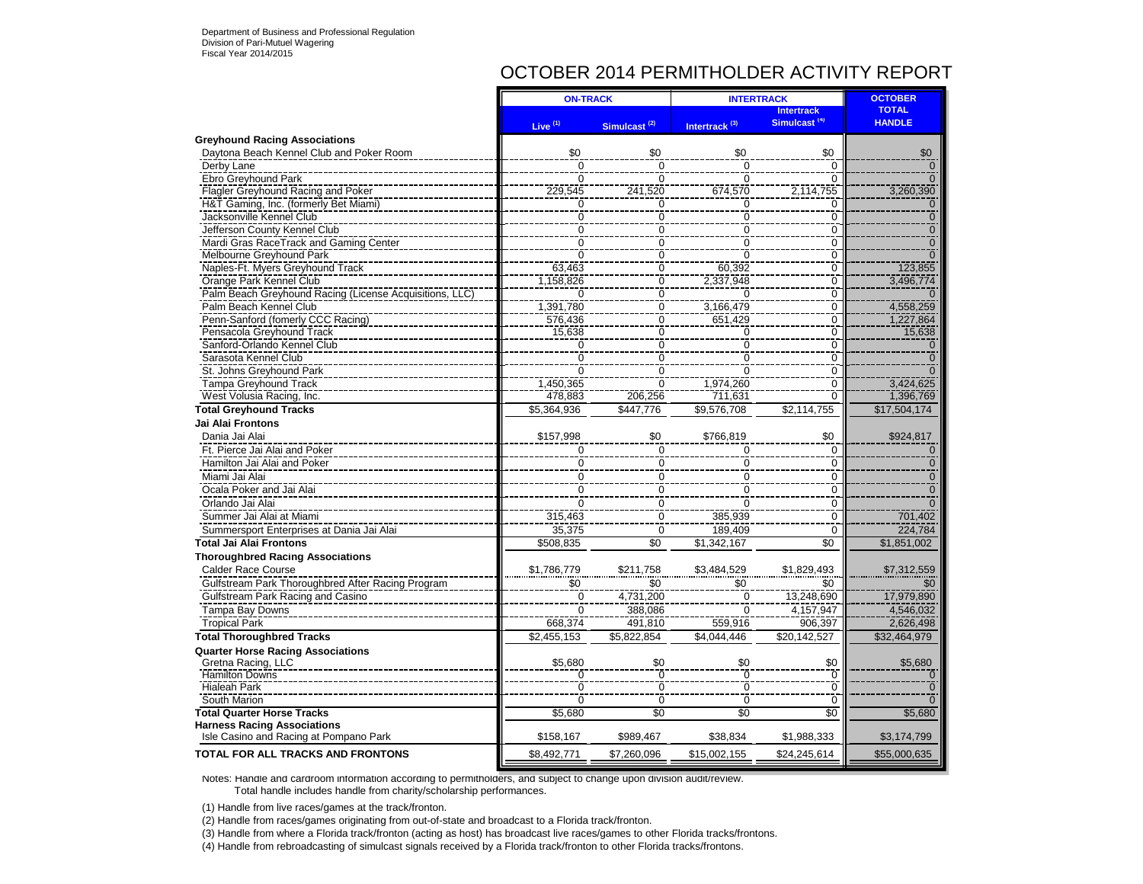# OCTOBER 2014 PERMITHOLDER ACTIVITY REPORT

|                                                                              | <b>ON-TRACK</b> |                                  | <b>INTERTRACK</b>                | <b>OCTOBER</b>                                |                               |
|------------------------------------------------------------------------------|-----------------|----------------------------------|----------------------------------|-----------------------------------------------|-------------------------------|
|                                                                              | Live $(1)$      | Simulcast <sup>(2)</sup>         | Intertrack <sup>(3)</sup>        | <b>Intertrack</b><br>Simulcast <sup>(4)</sup> | <b>TOTAL</b><br><b>HANDLE</b> |
| <b>Greyhound Racing Associations</b>                                         |                 |                                  |                                  |                                               |                               |
| Daytona Beach Kennel Club and Poker Room                                     | \$0             | \$0                              | \$0                              | \$0                                           | \$0                           |
| Derby Lane                                                                   | $\overline{0}$  | $\overline{0}$                   | $\overline{0}$                   | $\Omega$                                      | $\Omega$                      |
| Ebro Greyhound Park                                                          | $\Omega$        | $\Omega$                         | $\Omega$                         | $\Omega$                                      | $\Omega$                      |
| Flagler Greyhound Racing and Poker                                           | 229.545         | 241,520                          | 674,570                          | 2,114,755                                     | 3,260,390                     |
| H&T Gaming, Inc. (formerly Bet Miami)                                        | 0               | $\mathbf 0$                      | 0                                | 0                                             | $\Omega$                      |
| Jacksonville Kennel Club                                                     | $\overline{0}$  | $\overline{0}$                   | $\overline{0}$                   | $\overline{0}$                                | $\overline{0}$                |
| Jefferson County Kennel Club                                                 | $\Omega$        | $\overline{0}$                   | $\overline{0}$                   | 0                                             | $\overline{0}$                |
| Mardi Gras RaceTrack and Gaming Center                                       | $\overline{0}$  | $\overline{0}$                   | $\overline{0}$                   | $\overline{0}$                                | $\overline{0}$                |
| Melbourne Grevhound Park                                                     | $\overline{0}$  | $\mathbf 0$                      | $\overline{0}$                   | 0                                             | $\Omega$                      |
| Naples-Ft. Myers Greyhound Track                                             | 63,463          | $\mathbf 0$                      | 60,392                           | $\Omega$                                      | 123,855                       |
| Orange Park Kennel Club                                                      | 1,158,826       | $\overline{0}$                   | 2,337,948                        | $\overline{0}$                                | 3,496,774                     |
| Palm Beach Greyhound Racing (License Acquisitions, LLC)                      | $\Omega$        | $\overline{0}$                   | $\Omega$                         | $\overline{0}$                                |                               |
| Palm Beach Kennel Club                                                       | 1,391,780       | $\overline{0}$                   | 3,166,479                        | $\overline{0}$                                | 4,558,259                     |
| Penn-Sanford (fomerly CCC Racing)                                            | 576.436         | $\overline{0}$                   | 651,429                          | $\overline{0}$                                | 1,227,864                     |
| Pensacola Greyhound Track                                                    | 15,638          | $\mathbf 0$                      | 0                                | $\Omega$                                      | 15,638                        |
| Sanford-Orlando Kennel Club                                                  | $\Omega$        | $\overline{0}$                   | $\overline{0}$                   | $\overline{0}$                                |                               |
| Sarasota Kennel Club                                                         | Ō               | Ō                                | $\overline{0}$                   | $\overline{0}$                                |                               |
| St. Johns Greyhound Park                                                     | $\Omega$        | $\Omega$                         | $\Omega$                         | 0                                             |                               |
| <b>Tampa Greyhound Track</b>                                                 | 1.450.365       | $\overline{0}$                   | 1,974,260                        | $\Omega$                                      | 3.424.625                     |
| West Volusia Racing, Inc.                                                    | 478.883         | 206,256                          | 711.631                          | $\overline{0}$                                | 1,396,769                     |
| <b>Total Greyhound Tracks</b>                                                | \$5,364,936     | \$447,776                        | \$9,576,708                      | \$2,114,755                                   | \$17,504,174                  |
| <b>Jai Alai Frontons</b>                                                     |                 |                                  |                                  |                                               |                               |
| Dania Jai Alai                                                               | \$157,998       | \$0                              | \$766,819                        | \$0                                           | \$924,817                     |
| Ft. Pierce Jai Alai and Poker                                                | $\mathbf 0$     | $\mathbf 0$                      | $\mathbf 0$                      | 0                                             | $\Omega$                      |
| Hamilton Jai Alai and Poker                                                  | $\mathbf 0$     | $\mathbf 0$                      | $\mathsf 0$                      | 0                                             | $\mathbf{0}$                  |
| Miami Jai Alai                                                               | $\mathbf 0$     | $\mathbf 0$                      | 0                                | 0                                             | $\mathbf{0}$                  |
| Ocala Poker and Jai Alai                                                     | $\Omega$        | $\overline{0}$                   | $\overline{0}$                   | $\Omega$                                      | $\Omega$                      |
| Orlando Jai Alai                                                             | $\Omega$        | $\Omega$                         | $\Omega$                         | $\Omega$                                      | $\Omega$                      |
| Summer Jai Alai at Miami                                                     | 315,463         | $\overline{0}$                   | 385.939                          | $\overline{0}$                                | 701,402                       |
| Summersport Enterprises at Dania Jai Alai                                    | 35,375          | ō                                | 189,409                          | $\Omega$                                      | 224,784                       |
| <b>Total Jai Alai Frontons</b>                                               | \$508,835       | $\overline{50}$                  | \$1,342,167                      | $\overline{50}$                               | \$1,851,002                   |
| <b>Thoroughbred Racing Associations</b>                                      |                 |                                  |                                  |                                               |                               |
| <b>Calder Race Course</b>                                                    | \$1,786,779     | \$211,758                        |                                  | \$1,829,493                                   |                               |
|                                                                              |                 |                                  | \$3,484,529                      | \$0                                           | \$7,312,559                   |
| Gulfstream Park Thoroughbred After Racing Program                            | \$0             | \$0                              | \$0                              |                                               | \$0                           |
| Gulfstream Park Racing and Casino                                            | 0               | 4,731,200                        | $\mathbf 0$                      | 13,248,690                                    | 17,979,890                    |
| Tampa Bay Downs                                                              | $\Omega$        | 388,086                          | $\Omega$                         | 4,157,947                                     | 4,546,032                     |
| <b>Tropical Park</b>                                                         | 668,374         | 491,810                          | 559,916                          | 906,397                                       | 2,626,498                     |
| <b>Total Thoroughbred Tracks</b>                                             | \$2,455,153     | \$5,822,854                      | \$4,044,446                      | \$20,142,527                                  | \$32,464,979                  |
| <b>Quarter Horse Racing Associations</b>                                     |                 |                                  |                                  |                                               |                               |
| Gretna Racing, LLC                                                           | \$5,680         | \$0                              | \$0                              | \$0                                           | \$5,680                       |
| <b>Hamilton Downs</b>                                                        | $\overline{0}$  | $\overline{0}$<br>$\overline{0}$ | $\overline{0}$<br>$\overline{0}$ | Ō                                             |                               |
| <b>Hialeah Park</b>                                                          |                 |                                  |                                  | $\overline{0}$                                |                               |
| South Marion                                                                 | $\Omega$        | $\mathbf 0$                      | $\mathbf 0$                      | $\mathbf 0$                                   |                               |
| <b>Total Quarter Horse Tracks</b>                                            | \$5,680         | $\overline{50}$                  | \$0                              | $\overline{50}$                               | \$5,680                       |
| <b>Harness Racing Associations</b><br>Isle Casino and Racing at Pompano Park | \$158,167       | \$989,467                        | \$38,834                         | \$1,988,333                                   | \$3,174,799                   |
| <b>TOTAL FOR ALL TRACKS AND FRONTONS</b>                                     | \$8,492,771     | \$7,260,096                      | \$15,002,155                     | \$24,245,614                                  | \$55,000,635                  |
|                                                                              |                 |                                  |                                  |                                               |                               |

Notes: Handle and cardroom information according to permitholders, and subject to change upon division audit/review. Total handle includes handle from charity/scholarship performances.

(1) Handle from live races/games at the track/fronton.

(2) Handle from races/games originating from out-of-state and broadcast to a Florida track/fronton.

(3) Handle from where a Florida track/fronton (acting as host) has broadcast live races/games to other Florida tracks/frontons.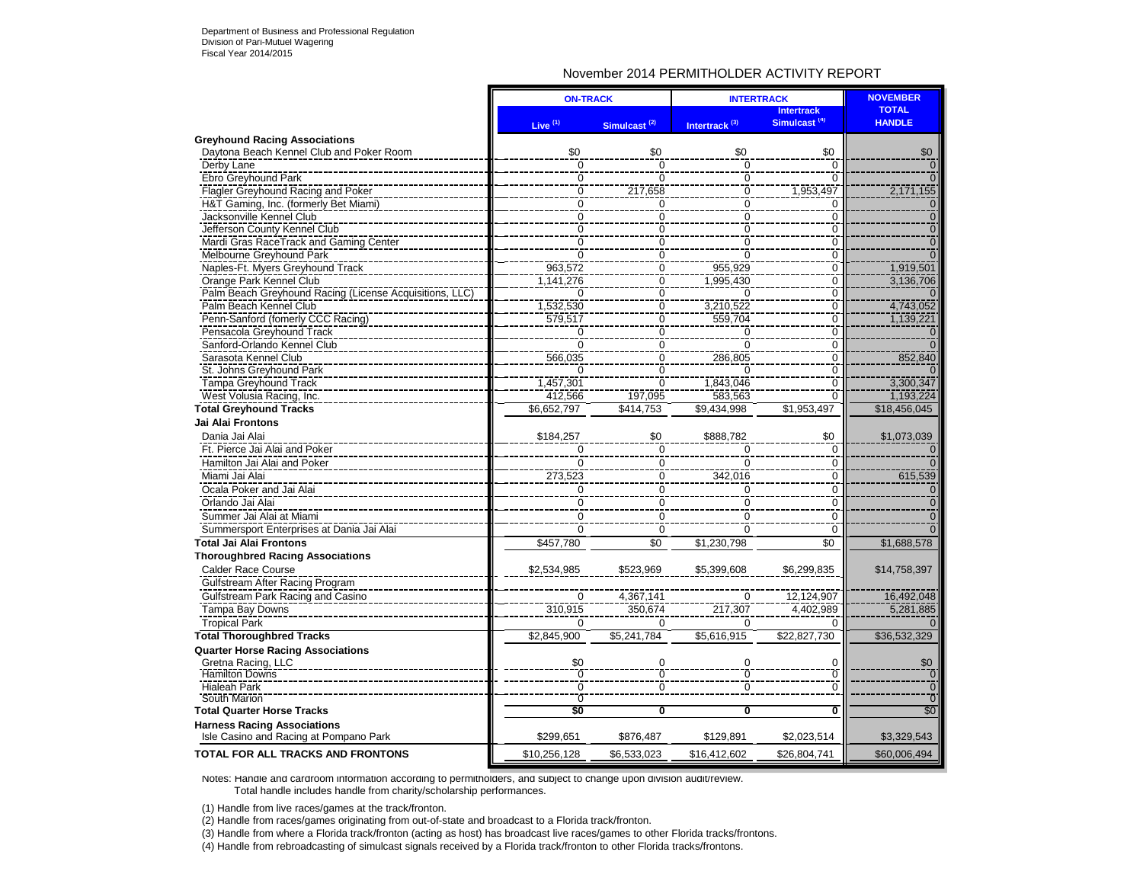### November 2014 PERMITHOLDER ACTIVITY REPORT

|                                                         | <b>ON-TRACK</b> |                          | <b>INTERTRACK</b>         |                                               | <b>NOVEMBER</b>               |
|---------------------------------------------------------|-----------------|--------------------------|---------------------------|-----------------------------------------------|-------------------------------|
|                                                         | Live $(1)$      | Simulcast <sup>(2)</sup> | Intertrack <sup>(3)</sup> | <b>Intertrack</b><br>Simulcast <sup>(4)</sup> | <b>TOTAL</b><br><b>HANDLE</b> |
| <b>Greyhound Racing Associations</b>                    |                 |                          |                           |                                               |                               |
| Daytona Beach Kennel Club and Poker Room                | \$0             | \$0                      | \$0                       | \$0                                           | \$0                           |
| Derby Lane                                              | ō               | $\Omega$                 | $\mathbf 0$               | $\Omega$                                      |                               |
| Ebro Greyhound Park                                     | $\overline{0}$  | $\overline{0}$           | $\overline{0}$            | $\overline{0}$                                | $\overline{0}$                |
| Flagler Greyhound Racing and Poker                      | $\mathbf 0$     | 217,658                  | $\boldsymbol{0}$          | 1,953,497                                     | 2,171,155                     |
| H&T Gaming, Inc. (formerly Bet Miami)                   | $\overline{0}$  | 0                        | ō                         | 0                                             | $\overline{0}$                |
| Jacksonville Kennel Club                                | $\overline{0}$  | ō                        | $\overline{0}$            | $\overline{0}$                                | Tō1                           |
| Jefferson County Kennel Club                            | $\mathbf 0$     | $\mathbf 0$              | 0                         | $\mathbf 0$                                   | $\mathbf 0$                   |
| Mardi Gras RaceTrack and Gaming Center                  | 0               | $\overline{0}$           | $\overline{0}$            | $\overline{0}$                                | $\overline{0}$                |
| Melbourne Greyhound Park                                | $\overline{0}$  | $\overline{0}$           | $\overline{0}$            | $\overline{0}$                                | $\Omega$                      |
| Naples-Ft. Myers Greyhound Track                        | 963,572         | 0                        | 955,929                   | 0                                             | 1,919,501                     |
| Orange Park Kennel Club                                 | 1.141.276       | $\overline{0}$           | 1,995,430                 | $\overline{0}$                                | 3,136,706                     |
| Palm Beach Greyhound Racing (License Acquisitions, LLC) | $\Omega$        | ō                        | U                         | $\overline{0}$                                |                               |
| Palm Beach Kennel Club                                  | 1,532,530       | 0                        | 3,210,522                 | 0                                             | 4,743,052                     |
| Penn-Sanford (fomerly CCC Racing)                       | 579,517         | ō                        | 559,704                   | $\overline{0}$                                | 1,139,221                     |
| Pensacola Greyhound Track                               | $\overline{0}$  | $\overline{0}$           | $\overline{0}$            | $\overline{0}$                                | $\Omega$                      |
| Sanford-Orlando Kennel Club                             | $\overline{0}$  | $\mathbf 0$              | $\Omega$                  | $\overline{0}$                                | $\Omega$                      |
| Sarasota Kennel Club                                    | 566,035         | 0                        | 286,805                   | $\overline{0}$                                | 852,840                       |
| St. Johns Greyhound Park                                | n               | $\overline{0}$           | $\Omega$                  | $\overline{0}$                                |                               |
| <b>Tampa Greyhound Track</b>                            | 1,457,301       | ō                        | 1,843,046                 | 0                                             | 3,300,347                     |
| West Volusia Racing, Inc.                               | 412,566         | 197.095                  | 583.563                   | $\overline{0}$                                | 1,193,224                     |
| <b>Total Greyhound Tracks</b>                           | \$6,652,797     | \$414,753                | \$9,434,998               | \$1,953,497                                   | \$18,456,045                  |
| Jai Alai Frontons                                       |                 |                          |                           |                                               |                               |
| Dania Jai Alai                                          | \$184,257       | \$0                      | \$888,782                 | \$0                                           | \$1,073,039                   |
| Ft. Pierce Jai Alai and Poker                           | $\mathbf 0$     | $\mathbf 0$              | 0                         | 0                                             |                               |
| Hamilton Jai Alai and Poker                             | $\overline{0}$  | $\mathbf 0$              | $\Omega$                  | $\overline{0}$                                |                               |
| Miami Jai Alai                                          | 273,523         | 0                        | 342,016                   | $\mathbf 0$                                   | 615,539                       |
| Ocala Poker and Jai Alai                                | $\Omega$        | $\Omega$                 | $\Omega$                  | $\Omega$                                      | $\Omega$                      |
| Orlando Jai Alai                                        | $\mathbf 0$     | $\mathbf 0$              | $\mathbf 0$               | $\mathbf 0$                                   | $\mathbf{0}$                  |
| Summer Jai Alai at Miami                                | $\Omega$        | $\mathbf 0$              | $\mathbf 0$               | $\mathbf 0$                                   | $\overline{0}$                |
| Summersport Enterprises at Dania Jai Alai               | $\Omega$        | $\mathbf 0$              | $\Omega$                  | $\mathbf 0$                                   | $\Omega$                      |
| <b>Total Jai Alai Frontons</b>                          | \$457,780       | $\overline{50}$          | \$1,230,798               | $\overline{50}$                               | \$1,688,578                   |
| <b>Thoroughbred Racing Associations</b>                 |                 |                          |                           |                                               |                               |
| <b>Calder Race Course</b>                               | \$2,534,985     | \$523,969                | \$5,399,608               | \$6,299,835                                   | \$14,758,397                  |
| Gulfstream After Racing Program                         |                 |                          |                           |                                               |                               |
| Gulfstream Park Racing and Casino                       | $\Omega$        | 4,367,141                | $\Omega$                  | 12,124,907                                    | 16,492,048                    |
| Tampa Bay Downs                                         | 310,915         | 350,674                  | 217,307                   | 4,402,989                                     | 5,281,885                     |
| <b>Tropical Park</b>                                    | $\Omega$        | $\Omega$                 | $\Omega$                  | $\Omega$                                      |                               |
| <b>Total Thoroughbred Tracks</b>                        | \$2,845,900     | \$5,241,784              | \$5,616,915               | \$22,827,730                                  | \$36,532,329                  |
| <b>Quarter Horse Racing Associations</b>                |                 |                          |                           |                                               |                               |
| Gretna Racing, LLC                                      | \$0             | $\Omega$                 | 0                         | 0                                             | \$0                           |
| <b>Hamilton Downs</b>                                   | $\mathbf 0$     | 0                        | ō                         | $\overline{0}$                                | $\mathbf{0}$                  |
| <b>Hialeah Park</b>                                     | $\overline{0}$  | $\overline{0}$           | $\overline{0}$            | $\overline{0}$                                | $\overline{0}$                |
| South Marion                                            | $\Omega$        |                          |                           |                                               | $\overline{0}$                |
| <b>Total Quarter Horse Tracks</b>                       | \$0             | 0                        | 0                         | 0                                             | \$0                           |
| <b>Harness Racing Associations</b>                      |                 |                          |                           |                                               |                               |
| Isle Casino and Racing at Pompano Park                  | \$299,651       | \$876,487                | \$129,891                 | \$2,023,514                                   | \$3,329,543                   |
| <b>TOTAL FOR ALL TRACKS AND FRONTONS</b>                | \$10,256,128    | \$6,533,023              | \$16,412,602              | \$26,804,741                                  | \$60,006,494                  |

Notes: Handle and cardroom information according to permitholders, and subject to change upon division audit/review. Total handle includes handle from charity/scholarship performances.

(1) Handle from live races/games at the track/fronton.

(2) Handle from races/games originating from out-of-state and broadcast to a Florida track/fronton.

(3) Handle from where a Florida track/fronton (acting as host) has broadcast live races/games to other Florida tracks/frontons.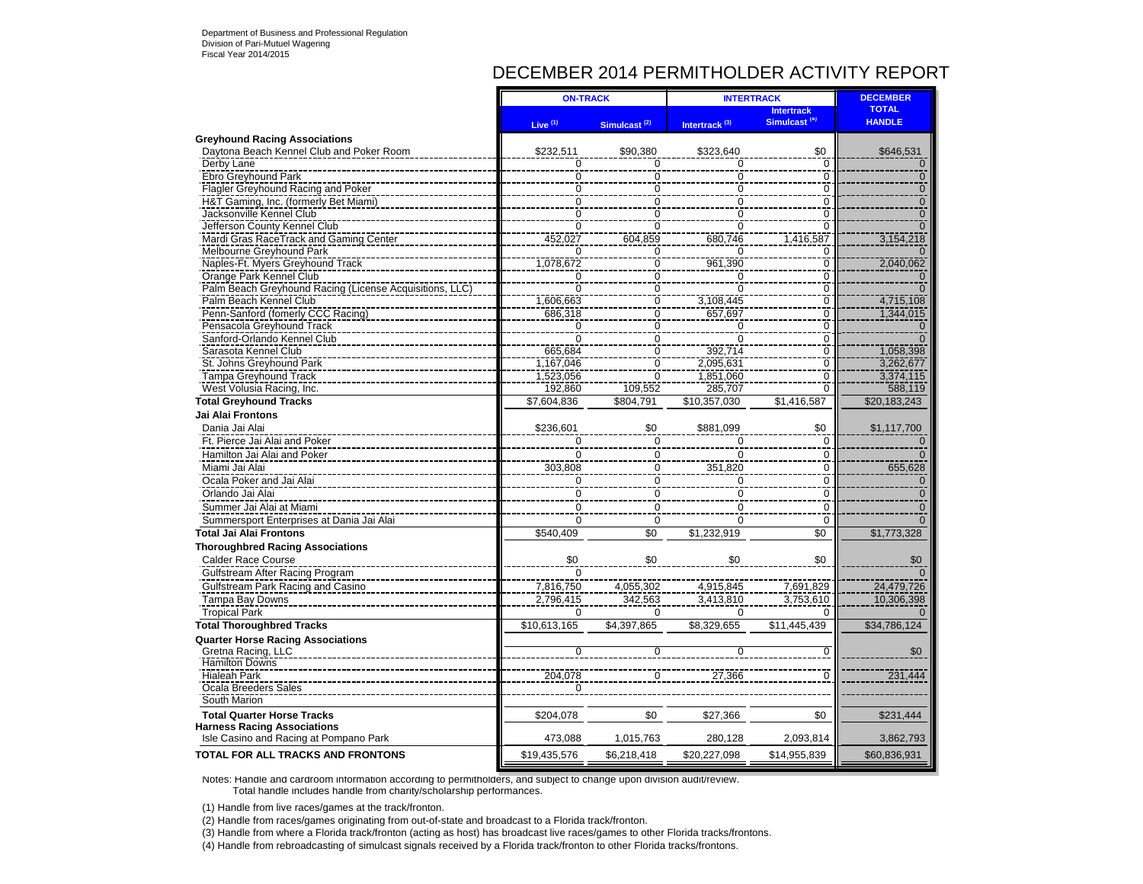# DECEMBER 2014 PERMITHOLDER ACTIVITY REPORT

|                                                                             | <b>ON-TRACK</b> |                          | <b>INTERTRACK</b>         | <b>DECEMBER</b>                               |                               |
|-----------------------------------------------------------------------------|-----------------|--------------------------|---------------------------|-----------------------------------------------|-------------------------------|
|                                                                             | Live $(1)$      | Simulcast <sup>(2)</sup> | Intertrack <sup>(3)</sup> | <b>Intertrack</b><br>Simulcast <sup>(4)</sup> | <b>TOTAL</b><br><b>HANDLE</b> |
| <b>Greyhound Racing Associations</b>                                        |                 |                          |                           |                                               |                               |
| Daytona Beach Kennel Club and Poker Room                                    | \$232,511       | \$90.380                 | \$323.640                 | \$0                                           | \$646,531                     |
| Derby Lane                                                                  |                 |                          | 0                         | $\frac{0}{0}$                                 | $\Omega$                      |
| Ebro Greyhound Park                                                         | $\frac{0}{0}$   | $\frac{0}{0}$            | $\frac{0}{0}$             |                                               | $\Omega$                      |
| Flagler Greyhound Racing and Poker<br>H&T Gaming, Inc. (formerly Bet Miami) | $\overline{0}$  | $\overline{0}$           |                           | $\overline{0}$                                | $\mathbf{0}$                  |
|                                                                             | $\overline{0}$  | $\overline{0}$           | $\overline{0}$            | $\overline{0}$                                | $\overline{0}$                |
| Jacksonville Kennel Club                                                    | $\overline{0}$  | $\overline{0}$           | $\overline{0}$            | $\overline{0}$                                | $\overline{0}$                |
| Jefferson County Kennel Club                                                | ō               | $\overline{0}$           | $\bar{0}$                 | $\overline{0}$                                |                               |
| Mardi Gras RaceTrack and Gaming Center                                      | 452,027         | 604,859                  | 680,746                   | 1,416,587                                     | 3,154,218                     |
| Melbourne Greyhound Park                                                    | 0               | 0                        | 0                         | $\overline{0}$                                |                               |
| Naples-Ft. Myers Greyhound Track                                            | 1,078,672       |                          | $\frac{961,390}{0}$       | $\overline{0}$                                | 2,040,062                     |
| Orange Park Kennel Club                                                     | $\pmb{0}$       | $\frac{0}{0}$            |                           | $\frac{8}{0}$                                 | $\Omega$                      |
| Palm Beach Greyhound Racing (License Acquisitions, LLC)                     | $\Omega$        |                          |                           | $\overline{0}$                                |                               |
| Palm Beach Kennel Club                                                      | 1,606,663       | $\frac{8}{0}$            | 3,108,445                 | $\overline{0}$                                | 4,715,108                     |
| Penn-Sanford (fomerly CCC Racing)                                           | 686,318         |                          |                           |                                               | 1,344,015                     |
| Pensacola Greyhound Track                                                   | $\overline{0}$  | $\frac{0}{0}$            | $\frac{657,697}{0}$       | $\frac{0}{0}$                                 |                               |
| Sanford-Orlando Kennel Club                                                 | $\Omega$        |                          | 0                         | $\frac{0}{0}$                                 |                               |
| Sarasota Kennel Club                                                        | 665,684         | $\frac{0}{0}$            | 392,714                   |                                               | 1,058,398                     |
| St. Johns Greyhound Park                                                    | 1,167,046       |                          | 2,095,631                 |                                               | 3,262,677                     |
| Tampa Greyhound Track                                                       | 1,523,056       | $\frac{0}{0}$            | 1,851,060                 | $\frac{0}{0}$                                 | 3,374,115                     |
| West Volusia Racing, Inc.                                                   | 192,860         | 109,552                  | 285,707                   | $\overline{0}$                                | 588,119                       |
| <b>Total Greyhound Tracks</b>                                               | \$7,604,836     | \$804,791                | \$10,357,030              | \$1,416,587                                   | \$20,183,243                  |
| <b>Jai Alai Frontons</b>                                                    |                 |                          |                           |                                               |                               |
| Dania Jai Alai                                                              |                 |                          |                           | \$0                                           |                               |
|                                                                             | \$236,601       | \$0                      | \$881,099                 |                                               | \$1,117,700<br>$\Omega$       |
| Ft. Pierce Jai Alai and Poker                                               | 0               | 0                        | 0                         | $\mathbf 0$                                   |                               |
| Hamilton Jai Alai and Poker                                                 | $\Omega$        | $\overline{0}$           | $\mathbf 0$               | $\mathbf 0$                                   |                               |
| Miami Jai Alai                                                              | 303,808         | $\Omega$                 | 351,820                   | $\overline{0}$                                | 655,628                       |
| Ocala Poker and Jai Alai                                                    | $\Omega$        | 0                        | $\Omega$                  | 0                                             | $\Omega$                      |
| Orlando Jai Alai                                                            | $\overline{0}$  | $\overline{0}$           | $\mathbf 0$               | $\frac{8}{0}$                                 | $\mathbf{0}$                  |
| Summer Jai Alai at Miami                                                    | $\Omega$        | $\Omega$                 | $\Omega$                  | $\mathbf 0$                                   | $\Omega$                      |
| Summersport Enterprises at Dania Jai Alai                                   | 0               | $\Omega$                 | 0                         | $\mathbf 0$                                   | $\Omega$                      |
| <b>Total Jai Alai Frontons</b>                                              | \$540.409       | \$0                      | \$1,232,919               | \$0                                           | \$1,773,328                   |
| <b>Thoroughbred Racing Associations</b>                                     |                 |                          |                           |                                               |                               |
| <b>Calder Race Course</b>                                                   | \$0             | \$0                      | \$0                       | \$0                                           | \$0                           |
| Gulfstream After Racing Program                                             | $\Omega$        |                          |                           |                                               |                               |
| Gulfstream Park Racing and Casino                                           | 7,816,750       | 4,055,302                | 4,915,845                 | 7,691,829                                     | 24,479,726                    |
| Tampa Bay Downs                                                             | 2,796,415       | 342,563                  | 3,413,810                 | 3,753,610                                     | 10,306,398                    |
| <b>Tropical Park</b>                                                        | $\mathbf 0$     | $\mathbf 0$              | 0                         | 0                                             |                               |
| <b>Total Thoroughbred Tracks</b>                                            | \$10,613,165    | \$4,397,865              | \$8,329,655               | \$11,445,439                                  | \$34,786,124                  |
|                                                                             |                 |                          |                           |                                               |                               |
| <b>Quarter Horse Racing Associations</b>                                    |                 |                          |                           |                                               |                               |
| Gretna Racing, LLC<br><b>Hamilton Downs</b>                                 | 0               | 0                        | 0                         | 0                                             | \$0                           |
|                                                                             |                 |                          |                           |                                               |                               |
| <b>Hialeah Park</b>                                                         | 204,078         |                          | 27,366                    | 0                                             | 231,444                       |
| Ocala Breeders Sales                                                        | $\mathbf 0$     |                          |                           |                                               |                               |
| South Marion                                                                |                 |                          |                           |                                               |                               |
| <b>Total Quarter Horse Tracks</b>                                           | \$204,078       | \$0                      | \$27,366                  | \$0                                           | \$231,444                     |
| <b>Harness Racing Associations</b>                                          |                 |                          |                           |                                               |                               |
| Isle Casino and Racing at Pompano Park                                      | 473,088         | 1,015,763                | 280,128                   | 2,093,814                                     | 3,862,793                     |
| <b>TOTAL FOR ALL TRACKS AND FRONTONS</b>                                    | \$19,435,576    | \$6,218,418              | \$20,227,098              | \$14,955,839                                  | \$60,836,931                  |

Notes: Handle and cardroom information according to permitholders, and subject to change upon division audit/review. Total handle includes handle from charity/scholarship performances.

(1) Handle from live races/games at the track/fronton.

(2) Handle from races/games originating from out-of-state and broadcast to a Florida track/fronton.

(3) Handle from where a Florida track/fronton (acting as host) has broadcast live races/games to other Florida tracks/frontons.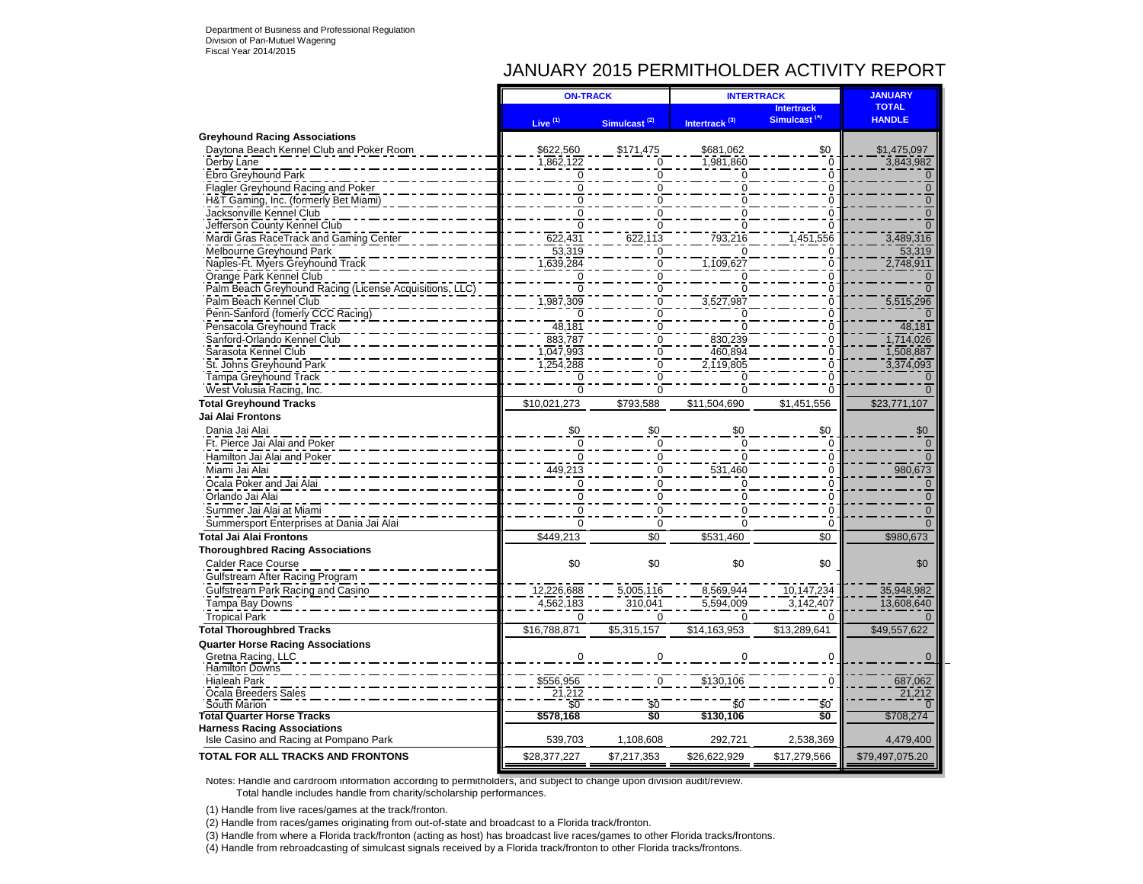## JANUARY 2015 PERMITHOLDER ACTIVITY REPORT

|                                                                | <b>ON-TRACK</b>           |                          | <b>INTERTRACK</b>         | <b>JANUARY</b>                                |                               |
|----------------------------------------------------------------|---------------------------|--------------------------|---------------------------|-----------------------------------------------|-------------------------------|
|                                                                | Live <sup>(1)</sup>       | Simulcast <sup>(2)</sup> | Intertrack <sup>(3)</sup> | <b>Intertrack</b><br>Simulcast <sup>(4)</sup> | <b>TOTAL</b><br><b>HANDLE</b> |
| <b>Greyhound Racing Associations</b>                           |                           |                          |                           |                                               |                               |
| Daytona Beach Kennel Club and Poker Room                       | \$622,560                 | \$171,475                | \$681,062                 | \$0                                           | \$1,475,097                   |
| Derby Lane                                                     | 1,862,122                 | $\overline{0}$           | 1,981,860                 | $\overline{0}$                                | 3,843,982                     |
| Ebro Greyhound Park                                            |                           | ∩                        |                           | $\mathbf 0$                                   |                               |
| Flagler Greyhound Racing and Poker                             | $\mathbf 0$               | 0                        |                           | $\overline{0}$                                | $\mathbf 0$                   |
| H&T Gaming, Inc. (formerly Bet Miami)                          |                           | ŋ                        |                           | ō                                             | $\Omega$                      |
| Jacksonville Kennel Club                                       | $\Omega$                  | O                        |                           | ō                                             | $\Omega$                      |
| Jefferson County Kennel Club                                   |                           | ŋ                        |                           | ŋ                                             |                               |
| Mardi Gras RaceTrack and Gaming Center                         | 622,431                   | 622.113                  | 793,216                   | 1,451,556                                     | 3,489,316                     |
| Melbourne Greyhound Park                                       | 53,319                    | $\Omega$                 |                           | 0                                             | 53,319                        |
| Naples-Ft. Myers Greyhound Track                               | 1,639,284                 | $\Omega$                 | 1,109,627                 | $\Omega$                                      | 2,748,911                     |
| Orange Park Kennel Club                                        |                           | $\mathbf 0$              |                           | ō                                             |                               |
| Palm Beach Greyhound Racing (License Acquisitions, LLC)        | $\overline{0}$            | $\Omega$                 |                           | ō                                             |                               |
| Palm Beach Kennel Club                                         | ,987,309                  | 0                        | 3,527,987                 | $\Omega$                                      | 5,515,296                     |
| Penn-Sanford (fomerly CCC Racing)                              |                           | 0                        |                           | $\Omega$                                      |                               |
| Pensacola Greyhound Track                                      | 48,181                    | $\Omega$                 |                           | ō                                             | 48,181                        |
| Sanford-Orlando Kennel Club                                    | 883,787                   | $\Omega$                 | 830,239                   | $\overline{0}$                                | 1,714,026                     |
| Sarasota Kennel Club                                           | 1,047,993                 | $\Omega$                 | 460.894                   | $\overline{0}$                                | 1,508,887                     |
| St. Johns Greyhound Park                                       | 1,254,288                 | $\Omega$                 | 2,119,805                 | $\overline{0}$                                | 3,374,093                     |
| Tampa Greyhound Track                                          |                           | $\Omega$                 |                           | ō                                             |                               |
| West Volusia Racing, Inc.                                      | $\overline{0}$            | $\overline{0}$           | $\overline{0}$            | ō                                             |                               |
| <b>Total Greyhound Tracks</b>                                  | \$10,021,273              | \$793,588                | \$11,504,690              | \$1,451,556                                   | \$23,771,107                  |
| Jai Alai Frontons                                              |                           |                          |                           |                                               |                               |
| Dania Jai Alai                                                 | \$0                       | \$0                      | \$0                       | \$0                                           | \$0                           |
| Ft. Pierce Jai Alai and Poker                                  | $\mathbf 0$               | $\Omega$                 | $\Omega$                  | $\mathbf 0$                                   | $\mathbf 0$                   |
| Hamilton Jai Alai and Poker                                    | $\Omega$                  | $\Omega$                 |                           | $\Omega$                                      | $\Omega$                      |
| Miami Jai Alai                                                 | 449,213                   | $\Omega$                 | 531,460                   | $\mathbf 0$                                   | 980,673                       |
| Ocala Poker and Jai Alai                                       | $\mathbf 0$               | $\Omega$                 | $\Omega$                  | $\overline{0}$                                | $\mathbf 0$                   |
| Orlando Jai Alai                                               | $\mathbf 0$               | $\Omega$                 | $\Omega$                  | $\mathbf 0$                                   | $\mathbf 0$                   |
| Summer Jai Alai at Miami                                       | $\overline{0}$            | $\Omega$                 | $\Omega$                  | $\Omega$                                      | $\Omega$                      |
| Summersport Enterprises at Dania Jai Alai                      | $\Omega$                  | $\Omega$                 | $\Omega$                  | $\Omega$                                      | $\Omega$                      |
| <b>Total Jai Alai Frontons</b>                                 | \$449,213                 | \$0                      | \$531,460                 | \$0                                           | \$980,673                     |
| <b>Thoroughbred Racing Associations</b>                        |                           |                          |                           |                                               |                               |
| Calder Race Course                                             | \$0                       | \$0                      | \$0                       | \$0                                           | \$0                           |
| Gulfstream After Racing Program                                |                           |                          |                           |                                               |                               |
| Gulfstream Park Racing and Casino                              | 12,226,688                | 5,005,116                | 8,569,944                 | 10,147,234                                    | 35,948,982                    |
| Tampa Bay Downs                                                | 4,562,183                 | 310,041                  | 5,594,009                 | 3,142,407                                     | 13,608,640                    |
| <b>Tropical Park</b>                                           | $\Omega$                  | $\Omega$                 | $\Omega$                  | $\Omega$                                      |                               |
| <b>Total Thoroughbred Tracks</b>                               | \$16,788,871              | \$5,315,157              | \$14,163,953              | \$13,289,641                                  | \$49,557,622                  |
|                                                                |                           |                          |                           |                                               |                               |
| <b>Quarter Horse Racing Associations</b><br>Gretna Racing, LLC | $\Omega$                  | $\Omega$                 | $\Omega$                  | $\Omega$                                      | $\Omega$                      |
| <b>Hamilton Downs</b>                                          |                           |                          |                           |                                               |                               |
| <b>Hialeah Park</b>                                            |                           |                          |                           |                                               | 687,062                       |
| Ocala Breeders Sales                                           | $\frac{$556,956}{21,212}$ |                          | \$130,106                 |                                               | 21,212                        |
| South Marion                                                   | $\overline{50}$           | \$0                      | \$0                       | \$0                                           |                               |
| <b>Total Quarter Horse Tracks</b>                              | \$578,168                 | \$0                      | \$130,106                 | \$O                                           | \$708,274                     |
| <b>Harness Racing Associations</b>                             |                           |                          |                           |                                               |                               |
| Isle Casino and Racing at Pompano Park                         | 539,703                   | 1,108,608                | 292,721                   | 2,538,369                                     | 4,479,400                     |
| <b>TOTAL FOR ALL TRACKS AND FRONTONS</b>                       | \$28,377,227              | \$7,217,353              | \$26,622,929              | \$17,279,566                                  | \$79,497,075.20               |
|                                                                |                           |                          |                           |                                               |                               |

Notes: Handle and cardroom information according to permitholders, and subject to change upon division audit/review. Total handle includes handle from charity/scholarship performances.

(1) Handle from live races/games at the track/fronton.

(2) Handle from races/games originating from out-of-state and broadcast to a Florida track/fronton.

(3) Handle from where a Florida track/fronton (acting as host) has broadcast live races/games to other Florida tracks/frontons.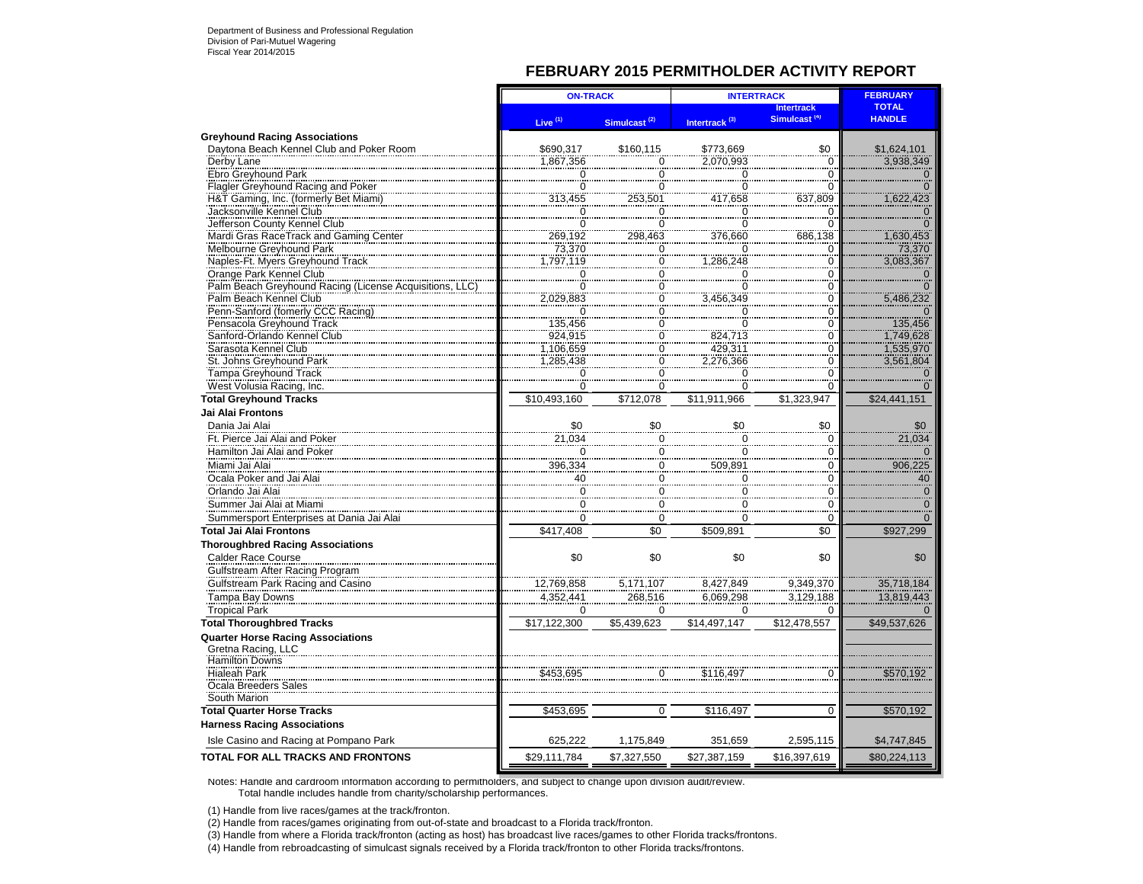### **FEBRUARY 2015 PERMITHOLDER ACTIVITY REPORT**

|                                                        | <b>ON-TRACK</b>                            |                          | <b>INTERTRACK</b>                    | <b>FEBRUARY</b>          |                |
|--------------------------------------------------------|--------------------------------------------|--------------------------|--------------------------------------|--------------------------|----------------|
|                                                        |                                            |                          |                                      | Intertrack               | <b>TOTAL</b>   |
|                                                        | Live <sup>(1)</sup>                        | Simulcast <sup>(2)</sup> | Intertrack <sup>(3)</sup>            | Simulcast <sup>(4)</sup> | <b>HANDLE</b>  |
| <b>Greyhound Racing Associations</b>                   |                                            |                          |                                      |                          |                |
| Daytona Beach Kennel Club and Poker Room               | \$690,317                                  | \$160,115                | \$773,669                            | \$0                      | \$1,624,101    |
| Derby Lane<br>Ebro Greyhound Park                      | 1,867,356                                  | $\mathbf 0$              | 2.070.993                            | $\mathbf 0$              | 3,938,349      |
|                                                        |                                            | $\overline{0}$           | 0                                    | 0                        | $\mathbf 0$    |
| Flagler Greyhound Racing and Poker                     | $\begin{matrix} 0 \\ 0 \\ -1 \end{matrix}$ | $\overline{0}$           | $\frac{6}{0}$<br>417,658             | $\Omega$                 | $\overline{O}$ |
| H&T Gaming, Inc. (formerly Bet Miami)                  | 313,455                                    | 253,501                  |                                      | 637,809                  | 1,622,423      |
| Jacksonville Kennel Club                               |                                            | $\overline{0}$           |                                      | $\Omega$                 | $\frac{0}{0}$  |
| Jefferson County Kennel Club                           | $\frac{0}{0}$                              | $\overline{0}$           | $\frac{0}{0}$                        | $\Omega$                 |                |
| Mardi Gras RaceTrack and Gaming Center                 | 269,192                                    | 298,463                  | 376,660                              | 686,138                  | 1,630,453      |
| Melbourne Greyhound Park                               | 73,370                                     | $\overline{0}$           |                                      | $\Omega$                 | 73,370         |
| Naples-Ft. Myers Greyhound Track                       | 1,797,119                                  | $\overline{0}$           | 1,286,248                            | $\Omega$                 | 3.083.367      |
| Orange Park Kennel Club                                | $\overline{0}$                             | $\overline{0}$           | $\rm 0$                              | 0                        | $\mathbf 0$    |
| Palm Beach Greyhound Racing (License Acquisitions, LLC | $\overline{0}$                             | $\overline{0}$           | $\overline{0}$                       | $\Omega$                 | $\overline{0}$ |
| Palm Beach Kennel Club                                 | 2,029,883                                  | $\overline{0}$           | 3,456,349                            | $\frac{0}{0}$            | 5,486,232      |
| Penn-Sanford (fomerly CCC Racing)                      | $\Omega$                                   | $\overline{0}$           |                                      | $\Omega$                 | $\Omega$       |
| Pensacola Greyhound Track                              | 135,456                                    | $\overline{0}$           | $\frac{0}{0}$                        | $\overline{0}$           | 135,456        |
| Sanford-Orlando Kennel Club                            | 924,915                                    | $\overline{0}$           |                                      | $\Omega$                 | 1,749,628      |
| Sarasota Kennel Club                                   |                                            |                          | 824.713<br>429,311                   | $\Omega$                 |                |
|                                                        | 1,106,659                                  | $\overline{0}$           |                                      |                          | 1,535,970      |
| St. Johns Greyhound Park                               | 1,285,438                                  | $\overline{0}$           | 2,276,366                            | 0                        | 3,561,804      |
| Tampa Greyhound Track                                  | $\Omega$                                   | $\mathbf 0$              | $\overline{0}$                       | $\Omega$                 |                |
| West Volusia Racing, Inc.                              | 0                                          | $\overline{0}$           | 0                                    | $\Omega$                 | $\Omega$       |
| <b>Total Greyhound Tracks</b>                          | \$10,493,160                               | \$712,078                | \$11,911,966                         | \$1,323,947              | \$24,441,151   |
| Jai Alai Frontons                                      |                                            |                          |                                      |                          |                |
| Dania Jai Alai                                         | \$0                                        | \$0                      | \$0                                  | \$0                      | \$0            |
| Ft. Pierce Jai Alai and Poker                          | 21,034                                     | $\mathbf 0$              | 0                                    | $\mathbf 0$              | 21,034         |
| Hamilton Jai Alai and Poker                            | $\Omega$                                   | $\frac{6}{0}$            | $\overline{0}$                       | 0                        | $\Omega$       |
| Miami Jai Alai                                         | 396,334                                    | $\mathbf 0$              | 509,891                              | $\Omega$                 | 906,225        |
| Ocala Poker and Jai Alai                               |                                            | $\ddot{\mathbf{0}}$      | $\mathbf 0$                          | $\Omega$                 | 40             |
| Orlando Jai Alai                                       | 40                                         |                          |                                      |                          |                |
|                                                        | $\mathbf 0$                                | $\mathbf 0$              | $\begin{matrix} 0 \\ 0 \end{matrix}$ | $\Omega$                 | $\frac{0}{0}$  |
| Summer Jai Alai at Miami                               | $\Omega$                                   | $\overline{0}$           |                                      | $\Omega$                 |                |
| Summersport Enterprises at Dania Jai Alai              | $\Omega$                                   | $\mathbf 0$              | $\Omega$                             | $\Omega$                 |                |
| <b>Total Jai Alai Frontons</b>                         | \$417,408                                  | \$0                      | \$509,891                            | \$0                      | \$927,299      |
| <b>Thoroughbred Racing Associations</b>                |                                            |                          |                                      |                          |                |
| <b>Calder Race Course</b>                              | \$0                                        | \$0                      | \$0                                  | \$0                      | \$0            |
| Gulfstream After Racing Program                        |                                            |                          |                                      |                          |                |
| Gulfstream Park Racing and Casino                      | 12,769,858                                 | 5,171,107                | 8,427,849                            | 9.349.370                | 35,718,184     |
| Tampa Bay Downs                                        | 4,352,441                                  | 268,516                  | 6,069,298                            | 3,129,188                | 13,819,443     |
|                                                        |                                            |                          |                                      |                          |                |
| <b>Tropical Park</b>                                   | $\Omega$                                   | $\Omega$                 | $\Omega$                             | $\Omega$                 |                |
| <b>Total Thoroughbred Tracks</b>                       | \$17,122,300                               | \$5,439,623              | \$14,497,147                         | \$12,478,557             | \$49,537,626   |
| <b>Quarter Horse Racing Associations</b>               |                                            |                          |                                      |                          |                |
| Gretna Racing, LLC                                     |                                            |                          |                                      |                          |                |
| Hamilton Downs                                         |                                            |                          |                                      |                          |                |
| <b>Hialeah Park</b>                                    | \$453,695                                  | Ō                        | \$116.497                            |                          | \$570,192      |
| Ocala Breeders Sales                                   |                                            |                          |                                      |                          |                |
| South Marion                                           |                                            |                          |                                      |                          |                |
| <b>Total Quarter Horse Tracks</b>                      | \$453,695                                  | 0                        | \$116,497                            | 0                        | \$570,192      |
| <b>Harness Racing Associations</b>                     |                                            |                          |                                      |                          |                |
| Isle Casino and Racing at Pompano Park                 | 625,222                                    | 1,175,849                | 351,659                              | 2,595,115                | \$4,747,845    |
| <b>TOTAL FOR ALL TRACKS AND FRONTONS</b>               |                                            |                          |                                      |                          |                |
|                                                        | \$29,111,784                               | \$7,327,550              | \$27,387,159                         | \$16,397,619             | \$80,224,113   |

Notes: Handle and cardroom information according to permitholders, and subject to change upon division audit/review. Total handle includes handle from charity/scholarship performances.

(1) Handle from live races/games at the track/fronton.

(2) Handle from races/games originating from out-of-state and broadcast to a Florida track/fronton.

(3) Handle from where a Florida track/fronton (acting as host) has broadcast live races/games to other Florida tracks/frontons.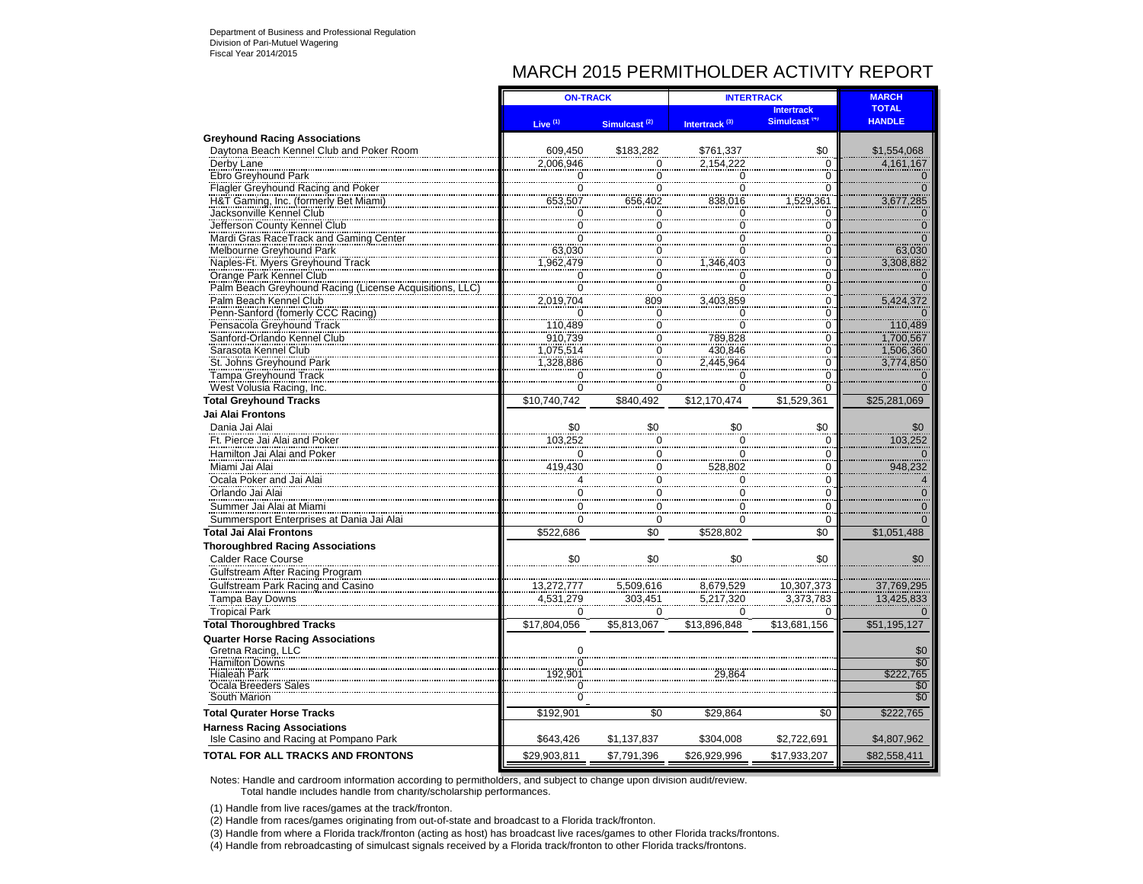## MARCH 2015 PERMITHOLDER ACTIVITY REPORT

|                                                                              | <b>ON-TRACK</b>     |                                      | <b>INTERTRACK</b>                    | <b>MARCH</b>             |                        |
|------------------------------------------------------------------------------|---------------------|--------------------------------------|--------------------------------------|--------------------------|------------------------|
|                                                                              |                     |                                      |                                      | <b>Intertrack</b>        | <b>TOTAL</b>           |
|                                                                              | Live <sup>(1)</sup> | Simulcast <sup>(2)</sup>             | Intertrack <sup>(3)</sup>            | Simulcast <sup>(4)</sup> | <b>HANDLE</b>          |
| <b>Greyhound Racing Associations</b>                                         |                     |                                      |                                      |                          |                        |
| Daytona Beach Kennel Club and Poker Room                                     | 609,450             | \$183,282                            | \$761,337                            | \$0                      | \$1,554,068            |
| Derby Lane                                                                   | 2,006,946           | 0                                    | 2.154.222                            | $\mathbf 0$              | 4,161,167              |
| Ebro Greyhound Park                                                          | 0                   | $\frac{8}{0}$                        | 0                                    | $\overline{0}$           |                        |
| Flagler Greyhound Racing and Poker                                           | $\overline{0}$      | $\bar{0}$                            | $\overline{0}$                       | $\overline{0}$           |                        |
| H&T Gaming, Inc. (formerly Bet Miami)                                        | 653,507             | 656,402                              | 838,016                              | 1,529,361                | 3,677,285              |
| Jacksonville Kennel Club                                                     | $\mathbf 0$         | 0                                    | 0                                    | 0                        |                        |
| Jefferson County Kennel Club                                                 | 0                   | 0                                    | $\overline{0}$                       | 0                        |                        |
| Mardi Gras RaceTrack and Gaming Center                                       | ō                   | 0                                    | 0                                    | 0                        |                        |
| Melbourne Greyhound Park                                                     | 63,030              | $\overline{0}$                       | $\overline{0}$                       | 0                        | 63,030                 |
| Naples-Ft. Myers Greyhound Track                                             | 962,479             | 0                                    | 1,346,403                            | 0                        | 3,308,882              |
| Orange Park Kennel Club                                                      | 0                   | $\begin{matrix} 0 \\ 0 \end{matrix}$ | $\begin{matrix} 0 \\ 0 \end{matrix}$ | 0                        |                        |
| Palm Beach Greyhound Racing (License Acquisitions, I                         | 0                   |                                      |                                      | 0                        |                        |
| Palm Beach Kennel Club                                                       | 2,019,704           | 809                                  | 3,403,859                            | 0                        | 5,424,372              |
| Penn-Sanford (fomerly CCC Racing)                                            | 0                   | $\overline{0}$                       | 0                                    | 0                        |                        |
| Pensacola Greyhound Track                                                    | 110,489             | 0                                    | 0                                    | 0                        | 110.489                |
| Sanford-Orlando Kennel Club                                                  | 910,739             | 0                                    | 789,828                              | 0                        | 1,700,567              |
| Sarasota Kennel Club                                                         | 1,075,514           |                                      |                                      | 0                        |                        |
| St. Johns Greyhound Park                                                     | 1,328,886           | $\frac{0}{0}$                        | 430,846<br>2,445,964                 | 0                        | 1,506,360<br>3,774,850 |
| <b>Tampa Greyhound Track</b>                                                 | 0                   | $\overline{0}$                       | $\overline{0}$                       | 0                        |                        |
| West Volusia Racing, Inc.                                                    | 0                   | 0                                    | $\mathbf 0$                          | 0                        |                        |
| <b>Total Greyhound Tracks</b>                                                | \$10,740,742        | \$840,492                            | \$12,170,474                         | \$1,529,361              | \$25,281,069           |
| <b>Jai Alai Frontons</b>                                                     |                     |                                      |                                      |                          |                        |
| Dania Jai Alai                                                               | \$0                 | \$0                                  | \$0                                  | \$0                      | \$0                    |
| Ft. Pierce Jai Alai and Poker                                                | 103,252             |                                      | 0                                    | 0                        | 103,252                |
| Hamilton Jai Alai and Poker                                                  | $\mathbf 0$         | $\overline{0}$<br>$\pmb{0}$          | 0                                    | 0                        |                        |
|                                                                              |                     |                                      |                                      |                          |                        |
| Miami Jai Alai                                                               | 419,430             | $\overline{0}$                       | 528,802                              | 0                        | 948,232                |
| Ocala Poker and Jai Alai                                                     |                     | $\mathbf 0$                          | $\Omega$                             | 0                        |                        |
| Orlando Jai Alai                                                             | 0                   | $\frac{0}{0}$                        | $\overline{0}$                       | $\Omega$                 |                        |
| Summer Jai Alai at Miami                                                     | 0                   |                                      | $\overline{0}$                       | $\overline{0}$           |                        |
| Summersport Enterprises at Dania Jai Alai                                    | $\Omega$            | $\Omega$                             | $\Omega$                             | $\Omega$                 | $\Omega$               |
| <b>Total Jai Alai Frontons</b>                                               | \$522,686           | $\overline{50}$                      | \$528.802                            | \$0                      | \$1,051,488            |
| <b>Thoroughbred Racing Associations</b>                                      |                     |                                      |                                      |                          |                        |
| <b>Calder Race Course</b>                                                    | \$0                 | \$0                                  | \$0                                  | \$0                      | \$0                    |
| Gulfstream After Racing Program                                              |                     |                                      |                                      |                          |                        |
| Gulfstream Park Racing and Casino                                            | 13,272,777          | 5,509,616                            | 8,679,529                            |                          | 37,769,295             |
| Tampa Bay Downs                                                              | 4,531,279           | 303,451                              | 5,217,320                            | 10,307,373<br>3,373,783  | 13,425,833             |
| <b>Tropical Park</b>                                                         | $\Omega$            | $\Omega$                             | $\Omega$                             | $\Omega$                 |                        |
| <b>Total Thoroughbred Tracks</b>                                             | \$17,804,056        | \$5,813,067                          | \$13,896,848                         | \$13,681,156             | \$51,195,127           |
|                                                                              |                     |                                      |                                      |                          |                        |
| <b>Quarter Horse Racing Associations</b>                                     |                     |                                      |                                      |                          |                        |
| Gretna Racing, LLC<br>Hamilton Downs                                         | $\overline{0}$      |                                      |                                      |                          | \$0<br>\$0             |
| <b>Hialeah Park</b>                                                          | 192.901             |                                      | 29 864                               |                          | \$222.765              |
| Ocala Breeders Sales                                                         |                     |                                      |                                      |                          | \$0                    |
| South Marion                                                                 |                     |                                      |                                      |                          | \$0                    |
|                                                                              |                     |                                      |                                      |                          |                        |
| <b>Total Qurater Horse Tracks</b>                                            | \$192,901           | \$0                                  | \$29,864                             | \$0                      | \$222,765              |
| <b>Harness Racing Associations</b><br>Isle Casino and Racing at Pompano Park | \$643,426           | \$1,137,837                          | \$304,008                            | \$2,722,691              | \$4,807,962            |
| <b>TOTAL FOR ALL TRACKS AND FRONTONS</b>                                     | \$29,903,811        | \$7,791,396                          | \$26,929,996                         | \$17,933,207             | \$82,558,411           |
|                                                                              |                     |                                      |                                      |                          |                        |

Notes: Handle and cardroom information according to permitholders, and subject to change upon division audit/review. Total handle includes handle from charity/scholarship performances.

(1) Handle from live races/games at the track/fronton.

(2) Handle from races/games originating from out-of-state and broadcast to a Florida track/fronton.

(3) Handle from where a Florida track/fronton (acting as host) has broadcast live races/games to other Florida tracks/frontons.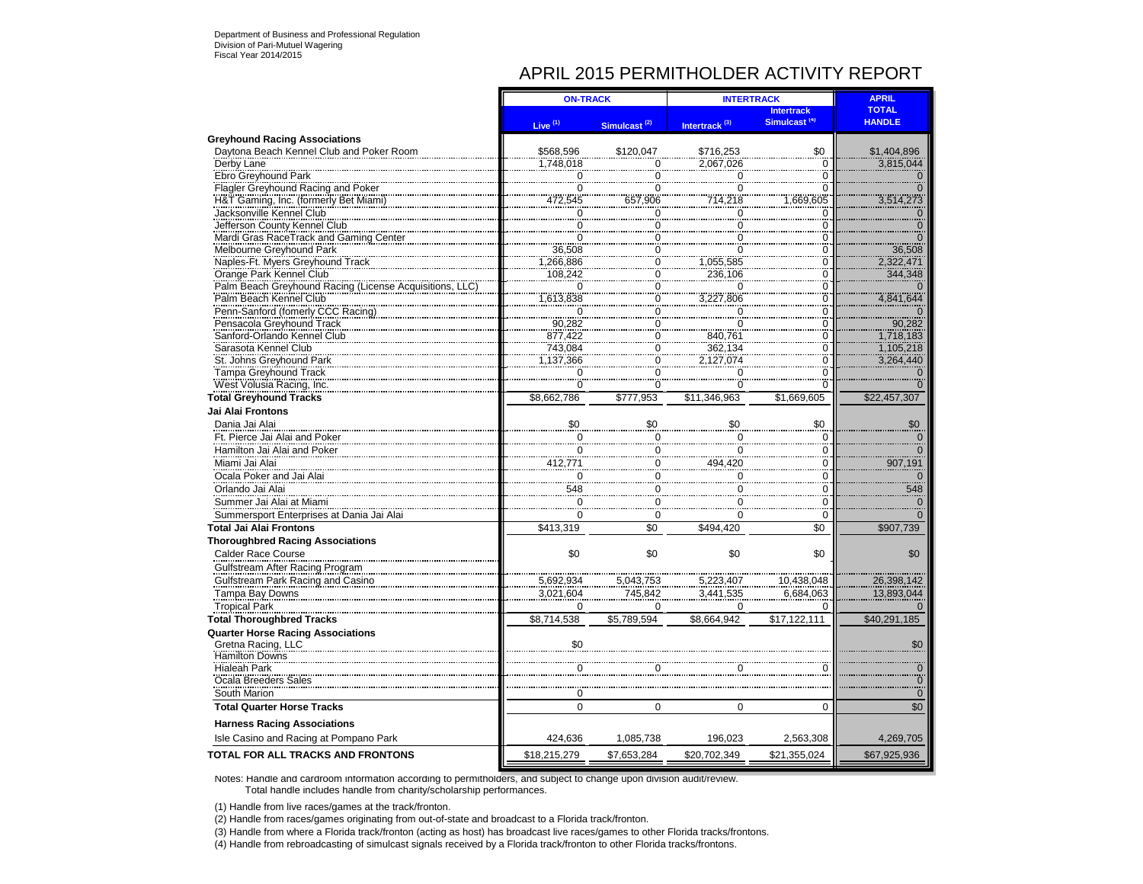# APRIL 2015 PERMITHOLDER ACTIVITY REPORT

|                                                                             | <b>ON-TRACK</b>           |                                  | <b>INTERTRACK</b>         | <b>APRIL</b>             |                     |
|-----------------------------------------------------------------------------|---------------------------|----------------------------------|---------------------------|--------------------------|---------------------|
|                                                                             |                           |                                  |                           | <b>Intertrack</b>        | <b>TOTAL</b>        |
|                                                                             | Live $(1)$                | Simulcast <sup>(2)</sup>         | Intertrack <sup>(3)</sup> | Simulcast <sup>(4)</sup> | <b>HANDLE</b>       |
| <b>Greyhound Racing Associations</b>                                        |                           |                                  |                           |                          |                     |
| Daytona Beach Kennel Club and Poker Room                                    | \$568,596                 | \$120,047                        | \$716,253                 | \$0                      | \$1,404,896         |
| Derby Lane                                                                  | 1,748,018                 | 0                                | 2,067,026                 | 0                        | 3,815,044           |
| Ebro Greyhound Park                                                         | $\Omega$                  | $\mathbf 0$                      | 0                         | 0                        |                     |
| Flagler Greyhound Racing and Poker<br>H&T Gaming, Inc. (formerly Bet Miami) | $\overline{0}$            |                                  | Ö                         | $\overline{0}$           |                     |
|                                                                             | 472,545                   | 657,906                          | 714,218                   | 1,669,605                | 3,514,273           |
| Jacksonville Kennel Club                                                    | 0                         | 0                                | 0                         | 0                        |                     |
| Jefferson County Kennel Club                                                | $\Omega$<br>$\frac{8}{0}$ | $\overline{0}$                   | $\Omega$                  | $\Omega$                 | $\Omega$            |
| Mardi Gras RaceTrack and Gaming Center                                      |                           |                                  | Ō                         | 0                        |                     |
| Melbourne Greyhound Park                                                    | 36,508                    | $\Omega$                         | 0                         | 0                        | 36,508              |
| Naples-Ft. Myers Greyhound Track                                            | 1,266,886                 | $\mathbf 0$                      | 1,055,585                 | $\Omega$                 | 2,322,471           |
| Orange Park Kennel Club                                                     | 108,242                   | $\overline{0}$<br>$\overline{0}$ | 236,106                   | $\overline{0}$           | $\frac{1}{344,348}$ |
| Palm Beach Greyhound Racing (License Acquisitio                             | $rac{1}{20}$              |                                  | $\Omega$                  | $\overline{0}$           |                     |
| Palm Beach Kennel Club                                                      | 1,613,838                 | 0                                | 3.227.806                 | 0                        | 4,841,644           |
| Penn-Sanford (fomerly CCC Racing)                                           | $\Omega$<br>90,282        | $\overline{0}$                   | 0                         | $\Omega$                 |                     |
| Pensacola Greyhound Track                                                   |                           | 0                                | $\ddot{o}$                | $\overline{0}$           | 90.282              |
| Sanford-Orlando Kennel Club                                                 | 877,422                   | $\Omega$                         | 840.761                   | $\Omega$                 | 1,718,183           |
| Sarasota Kennel Club                                                        | 743,084                   | $\overline{0}$                   | $\frac{362,134}{362,134}$ | $\overline{0}$           | 1,105,218           |
| St. Johns Greyhound Park                                                    | 1,137,366                 | 0<br>$\check{0}$                 | 2,127,074                 | $\Omega$                 | 3,264,440           |
| <b>Tampa Greyhound Track</b>                                                | $\overline{0}$            |                                  | $\overline{0}$            | $\overline{0}$           |                     |
| West Volusia Racing, Inc.                                                   | 0                         | $\Omega$                         | 0                         | 0                        |                     |
| <b>Total Greyhound Tracks</b>                                               | \$8,662,786               | \$777,953                        | \$11,346,963              | \$1,669,605              | \$22,457,307        |
| Jai Alai Frontons                                                           |                           |                                  |                           |                          |                     |
| Dania Jai Alai                                                              | $$0$                      | \$0                              | \$0                       | \$0                      | \$0                 |
| Ft. Pierce Jai Alai and Poker                                               | $\mathbf 0$               | $\mathbf 0$                      | 0                         | $\mathbf 0$              |                     |
| Hamilton Jai Alai and Poker                                                 | $\overline{\phantom{0}}$  | $\overline{0}$                   | $\pmb{0}$                 | $\mathbf 0$              | $\Omega$            |
| Miami Jai Alai                                                              |                           | $\Omega$                         | 494.420                   | 0                        | 907,191             |
| Ocala Poker and Jai Alai                                                    | $\Omega$                  | $\Omega$                         | 0                         | $\Omega$                 | $\Omega$            |
| Orlando Jai Alai                                                            | 548                       | $\check{0}$                      | $\frac{8}{0}$             | $\overline{0}$           | 548                 |
| Summer Jai Alai at Miami                                                    | $\mathbf 0$               | $\mathbf 0$                      | 0                         | $\Omega$                 | $\Omega$            |
| Summersport Enterprises at Dania Jai Alai                                   | 0                         | 0                                | 0                         | $\Omega$                 |                     |
| <b>Total Jai Alai Frontons</b>                                              | \$413,319                 | $\overline{50}$                  | \$494.420                 | $\overline{50}$          | \$907,739           |
| <b>Thoroughbred Racing Associations</b>                                     |                           |                                  |                           |                          |                     |
| <b>Calder Race Course</b>                                                   | \$0                       | \$0                              | \$0                       | \$0                      | \$0                 |
| Gulfstream After Racing Program                                             |                           |                                  |                           |                          |                     |
|                                                                             |                           |                                  |                           |                          |                     |
| Gulfstream Park Racing and Casino                                           | 5,692,934                 | 5,043,753                        | 5,223,407                 | 10,438,048               | 26,398,142          |
| Tampa Bay Downs                                                             | 3,021,604                 | 745,842                          | 3,441,535                 | 6.684.063                | 13,893,044          |
| <b>Tropical Park</b>                                                        | $\Omega$                  | $\Omega$                         | $\Omega$                  | 0                        |                     |
| <b>Total Thoroughbred Tracks</b>                                            | \$8,714,538               | \$5.789.594                      | \$8.664.942               | \$17,122,111             | \$40,291,185        |
| <b>Quarter Horse Racing Associations</b>                                    |                           |                                  |                           |                          |                     |
| Gretna Racing, LLC                                                          | \$0                       |                                  |                           |                          | \$0                 |
| <b>Hamilton Downs</b>                                                       |                           |                                  |                           |                          |                     |
| Hialeah Park                                                                | 0                         |                                  | $\Omega$                  | O                        |                     |
| Ocala Breeders Sales                                                        |                           |                                  |                           |                          |                     |
| South Marion                                                                | $\Omega$                  |                                  |                           |                          | $\mathbf{0}$        |
| <b>Total Quarter Horse Tracks</b>                                           | $\mathbf 0$               | $\mathbf 0$                      | 0                         | 0                        | \$0                 |
| <b>Harness Racing Associations</b>                                          |                           |                                  |                           |                          |                     |
| Isle Casino and Racing at Pompano Park                                      | 424,636                   | 1,085,738                        | 196,023                   | 2,563,308                | 4,269,705           |
| <b>TOTAL FOR ALL TRACKS AND FRONTONS</b>                                    | \$18,215,279              | \$7,653,284                      | \$20,702,349              | \$21,355,024             | \$67,925,936        |
|                                                                             |                           |                                  |                           |                          |                     |

Notes: Handle and cardroom information according to permitholders, and subject to change upon division audit/review. Total handle includes handle from charity/scholarship performances.

(1) Handle from live races/games at the track/fronton.

(2) Handle from races/games originating from out-of-state and broadcast to a Florida track/fronton.

(3) Handle from where a Florida track/fronton (acting as host) has broadcast live races/games to other Florida tracks/frontons.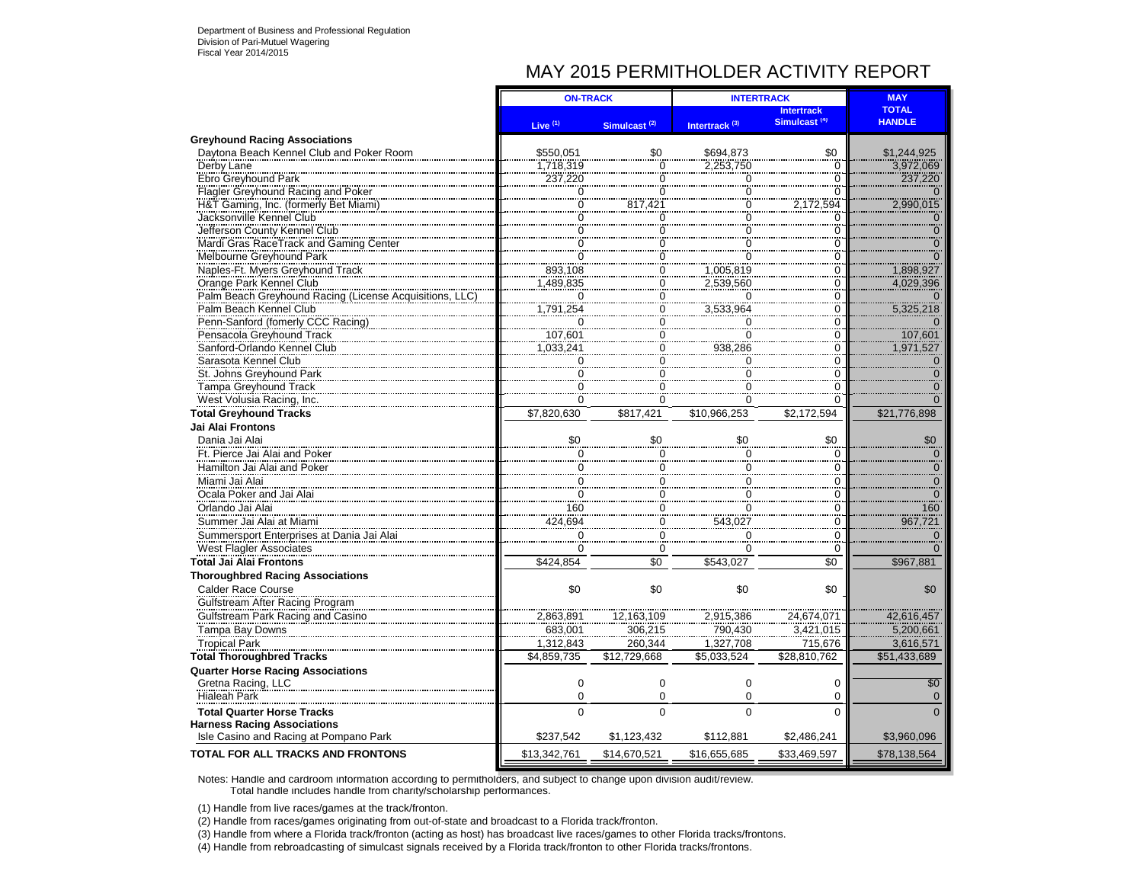# MAY 2015 PERMITHOLDER ACTIVITY REPORT

|                                                        | <b>ON-TRACK</b> |                                  | <b>INTERTRACK</b>             | <b>MAY</b>               |                |
|--------------------------------------------------------|-----------------|----------------------------------|-------------------------------|--------------------------|----------------|
|                                                        |                 |                                  |                               | <b>Intertrack</b>        | <b>TOTAL</b>   |
|                                                        | Live $(1)$      | Simulcast <sup>(2)</sup>         | Intertrack <sup>(3)</sup>     | Simulcast <sup>(4)</sup> | <b>HANDLE</b>  |
| <b>Greyhound Racing Associations</b>                   |                 |                                  |                               |                          |                |
| Davtona Beach Kennel Club and Poker Room               | \$550,051       | \$0                              | \$694.873                     | \$0                      | \$1,244,925    |
| Derby Lane                                             | 1,718,319       | $\overline{0}$                   | 2,253,750                     | 0                        | 3,972,069      |
| Ebro Greyhound Park                                    | 237,220         | $\begin{matrix}0\\0\end{matrix}$ | 0                             | $\Omega$                 | 237,220        |
| Flagler Greyhound Racing and Poker                     | $\overline{0}$  |                                  | $\overline{0}$                | 0                        |                |
| H&T Gaming, Inc. (formerly Bet Miami)                  | $\check{0}$     | 817,421                          | $\overline{0}$                | 2,172,594                | 2,990,015      |
| Jacksonville Kennel Club                               | $\overline{0}$  | Ö                                | $\overline{0}$                | $\Omega$                 |                |
| Jefferson County Kennel Club                           | $\Omega$        | 0                                | $\Omega$                      | 0                        |                |
| Mardi Gras RaceTrack and Gaming Center                 | $\overline{0}$  | $\ddot{\mathbf{0}}$              | $\overline{0}$<br>$\check{0}$ | $\Omega$                 |                |
| Melbourne Greyhound Park                               | $\Omega$        | $\frac{8}{0}$                    |                               | 0                        |                |
| Naples-Ft. Myers Greyhound Track                       | 893,108         | $\overline{0}$                   | 1,005,819                     | 0                        | 1,898,927      |
| Orange Park Kennel Club                                | 1,489,835       | $\frac{0}{0}$                    | 2,539,560                     | $\overline{0}$           | 4,029,396      |
| Palm Beach Greyhound Racing (License Acquisitions, LLC | $\overline{0}$  |                                  | Ö                             | $\overline{0}$           |                |
| Palm Beach Kennel Club                                 | 1,791,254       | $\check{0}$                      | 3,533,964                     | $\ddot{\rm{o}}$          | 5,325,218      |
| Penn-Sanford (fomerly CCC Racing)                      | $\Omega$        | $\overline{0}$                   | $\overline{0}$                | 0                        |                |
| Pensacola Greyhound Track                              | 107,601         | $\ddot{o}$                       | $\overline{0}$                | $\overline{0}$           | 107,601        |
| Sanford-Orlando Kennel Club                            | 1.033.241       | $\check{\overline{0}}$           | 938,286                       | $\overline{0}$           | 1,971,527      |
| Sarasota Kennel Club                                   | $\overline{0}$  | $\overline{0}$                   | $\mathbf 0$                   | $\overline{0}$           | $\mathbf 0$    |
| St. Johns Greyhound Park                               | Ö               | $\overline{0}$                   | $\overline{0}$                | $\overline{0}$           | $\overline{0}$ |
| Tampa Greyhound Track                                  | $\overline{0}$  | $\overline{0}$                   | $\overline{0}$                | $\Omega$                 |                |
| West Volusia Racing, Inc.                              | $\check{\circ}$ | $\frac{8}{0}$                    | $\overline{0}$                | $\overline{0}$           |                |
| <b>Total Greyhound Tracks</b>                          | \$7,820,630     | \$817.421                        | \$10.966.253                  | \$2,172,594              | \$21,776,898   |
| Jai Alai Frontons                                      |                 |                                  |                               |                          |                |
| Dania Jai Alai                                         | \$0             | \$0                              | \$0                           | \$0                      | $\$0$          |
| Ft. Pierce Jai Alai and Poker                          | $\Omega$        | 0                                | $\Omega$                      | $\Omega$                 |                |
| Hamilton Jai Alai and Poker                            | $\mathbf 0$     | $\overline{0}$                   | 0                             | $\mathbf 0$              | $\mathbf 0$    |
| Miami Jai Alai                                         | $\mathbf 0$     | $\mathbf 0$                      | $\mathbf 0$                   | 0                        | $\frac{6}{10}$ |
| Ocala Poker and Jai Alai                               | $\mathsf 0$     | $\overline{0}$                   | 0                             | $\mathbf 0$              | $\overline{0}$ |
| Orlando Jai Alai                                       | 160             | $\mathbf 0$                      | $\mathbf 0$                   | 0                        | 160            |
| Summer Jai Alai at Miami                               | 424,694         | $\mathbf 0$                      | 543,027                       | 0                        | 967,721        |
| Summersport Enterprises at Dania Jai Alai              | $\mathbf 0$     | $\frac{6}{0}$                    | $\mathbf 0$                   | 0                        | $\Omega$       |
| <b>West Flagler Associates</b>                         | $\Omega$        | $\mathbf 0$                      | $\Omega$                      | 0                        |                |
| <b>Total Jai Alai Frontons</b>                         | \$424,854       | $\overline{50}$                  | \$543,027                     | $\overline{50}$          | \$967,881      |
| <b>Thoroughbred Racing Associations</b>                |                 |                                  |                               |                          |                |
| Calder Race Course                                     | \$0             | \$0                              | \$0                           | \$0                      | \$0            |
| <b>Gulfstream After Racing Program</b>                 |                 |                                  |                               |                          |                |
| Gulfstream Park Racing and Casino                      | 2,863,891       | 12,163,109                       |                               | 24,674,071               | 42,616,457     |
| Tampa Bay Downs                                        | 683,001         | 306,215                          | 2,915,386<br>790,430          | 3,421,015                | 5,200,661      |
|                                                        |                 |                                  |                               |                          |                |
| <b>Tropical Park</b>                                   | 1,312,843       | 260,344                          | 1,327,708                     | 715,676                  | 3,616,571      |
| <b>Total Thoroughbred Tracks</b>                       | \$4,859,735     | \$12,729,668                     | \$5,033,524                   | \$28,810,762             | \$51,433,689   |
| <b>Quarter Horse Racing Associations</b>               |                 |                                  |                               |                          |                |
| Gretna Racing, LLC                                     | $\mathbf 0$     | $\mathbf 0$                      | $\mathbf 0$                   | $\Omega$                 | \$0            |
| <b>Hialeah Park</b>                                    | $\mathbf 0$     | $\mathbf 0$                      | $\mathbf 0$                   | 0                        | $\Omega$       |
| <b>Total Quarter Horse Tracks</b>                      | $\Omega$        | $\Omega$                         | $\Omega$                      | $\Omega$                 |                |
| <b>Harness Racing Associations</b>                     |                 |                                  |                               |                          |                |
| Isle Casino and Racing at Pompano Park                 | \$237.542       | \$1,123,432                      | \$112,881                     | \$2,486,241              | \$3.960.096    |
| TOTAL FOR ALL TRACKS AND FRONTONS                      | \$13,342,761    | \$14,670,521                     | \$16,655,685                  | \$33,469,597             | \$78,138,564   |

Notes: Handle and cardroom information according to permitholders, and subject to change upon division audit/review. Total handle includes handle from charity/scholarship performances.

(1) Handle from live races/games at the track/fronton.

(2) Handle from races/games originating from out-of-state and broadcast to a Florida track/fronton.

(3) Handle from where a Florida track/fronton (acting as host) has broadcast live races/games to other Florida tracks/frontons.